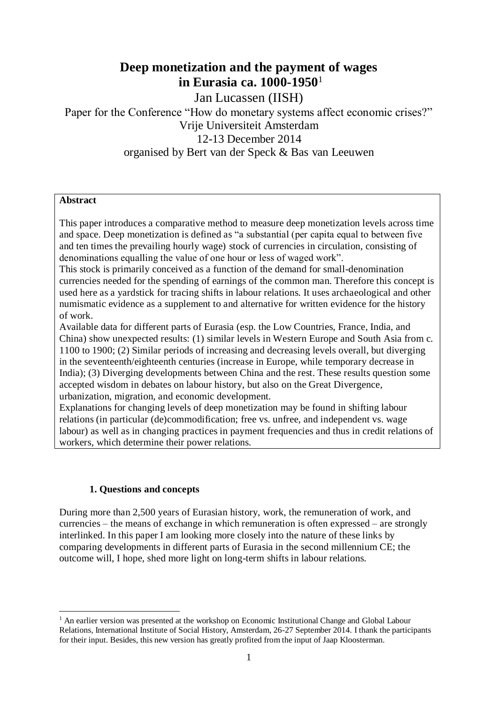# **Deep monetization and the payment of wages in Eurasia ca. 1000-1950**<sup>1</sup>

Jan Lucassen (IISH)

# Paper for the Conference "How do monetary systems affect economic crises?" Vrije Universiteit Amsterdam 12-13 December 2014 organised by Bert van der Speck & Bas van Leeuwen

### **Abstract**

This paper introduces a comparative method to measure deep monetization levels across time and space. Deep monetization is defined as "a substantial (per capita equal to between five and ten times the prevailing hourly wage) stock of currencies in circulation, consisting of denominations equalling the value of one hour or less of waged work".

This stock is primarily conceived as a function of the demand for small-denomination currencies needed for the spending of earnings of the common man. Therefore this concept is used here as a yardstick for tracing shifts in labour relations. It uses archaeological and other numismatic evidence as a supplement to and alternative for written evidence for the history of work.

Available data for different parts of Eurasia (esp. the Low Countries, France, India, and China) show unexpected results: (1) similar levels in Western Europe and South Asia from c. 1100 to 1900; (2) Similar periods of increasing and decreasing levels overall, but diverging in the seventeenth/eighteenth centuries (increase in Europe, while temporary decrease in India); (3) Diverging developments between China and the rest. These results question some accepted wisdom in debates on labour history, but also on the Great Divergence, urbanization, migration, and economic development.

Explanations for changing levels of deep monetization may be found in shifting labour relations (in particular (de)commodification; free vs. unfree, and independent vs. wage labour) as well as in changing practices in payment frequencies and thus in credit relations of workers, which determine their power relations.

# **1. Questions and concepts**

During more than 2,500 years of Eurasian history, work, the remuneration of work, and currencies – the means of exchange in which remuneration is often expressed – are strongly interlinked. In this paper I am looking more closely into the nature of these links by comparing developments in different parts of Eurasia in the second millennium CE; the outcome will, I hope, shed more light on long-term shifts in labour relations.

 $\overline{a}$ <sup>1</sup> An earlier version was presented at the workshop on Economic Institutional Change and Global Labour Relations, International Institute of Social History, Amsterdam, 26-27 September 2014. I thank the participants for their input. Besides, this new version has greatly profited from the input of Jaap Kloosterman.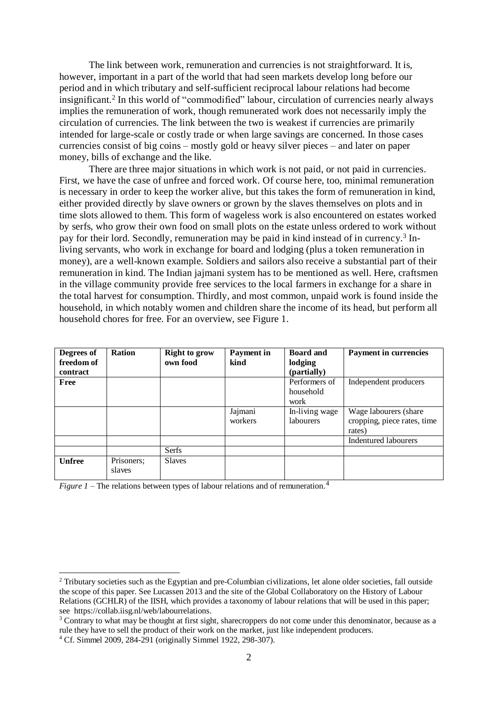The link between work, remuneration and currencies is not straightforward. It is, however, important in a part of the world that had seen markets develop long before our period and in which tributary and self-sufficient reciprocal labour relations had become insignificant.<sup>2</sup> In this world of "commodified" labour, circulation of currencies nearly always implies the remuneration of work, though remunerated work does not necessarily imply the circulation of currencies. The link between the two is weakest if currencies are primarily intended for large-scale or costly trade or when large savings are concerned. In those cases currencies consist of big coins – mostly gold or heavy silver pieces – and later on paper money, bills of exchange and the like.

There are three major situations in which work is not paid, or not paid in currencies. First, we have the case of unfree and forced work. Of course here, too, minimal remuneration is necessary in order to keep the worker alive, but this takes the form of remuneration in kind, either provided directly by slave owners or grown by the slaves themselves on plots and in time slots allowed to them. This form of wageless work is also encountered on estates worked by serfs, who grow their own food on small plots on the estate unless ordered to work without pay for their lord. Secondly, remuneration may be paid in kind instead of in currency. 3 Inliving servants, who work in exchange for board and lodging (plus a token remuneration in money), are a well-known example. Soldiers and sailors also receive a substantial part of their remuneration in kind. The Indian jajmani system has to be mentioned as well. Here, craftsmen in the village community provide free services to the local farmers in exchange for a share in the total harvest for consumption. Thirdly, and most common, unpaid work is found inside the household, in which notably women and children share the income of its head, but perform all household chores for free. For an overview, see Figure 1.

| Degrees of<br>freedom of<br><b>contract</b> | <b>Ration</b>        | <b>Right to grow</b><br>own food | <b>Payment</b> in<br>kind | <b>Board and</b><br>lodging<br>(partially) | <b>Payment in currencies</b>                                    |
|---------------------------------------------|----------------------|----------------------------------|---------------------------|--------------------------------------------|-----------------------------------------------------------------|
| Free                                        |                      |                                  |                           | Performers of<br>household<br>work         | Independent producers                                           |
|                                             |                      |                                  | Jajmani<br>workers        | In-living wage<br><i>labourers</i>         | Wage labourers (share)<br>cropping, piece rates, time<br>rates) |
|                                             |                      |                                  |                           |                                            | Indentured labourers                                            |
|                                             |                      | <b>Serfs</b>                     |                           |                                            |                                                                 |
| <b>Unfree</b>                               | Prisoners;<br>slaves | <b>Slaves</b>                    |                           |                                            |                                                                 |

*Figure 1* – The relations between types of labour relations and of remuneration. 4

<sup>2</sup> Tributary societies such as the Egyptian and pre-Columbian civilizations, let alone older societies, fall outside the scope of this paper. See Lucassen 2013 and the site of the Global Collaboratory on the History of Labour Relations (GCHLR) of the IISH, which provides a taxonomy of labour relations that will be used in this paper; see https://collab.iisg.nl/web/labourrelations.

<sup>&</sup>lt;sup>3</sup> Contrary to what may be thought at first sight, sharecroppers do not come under this denominator, because as a rule they have to sell the product of their work on the market, just like independent producers.

<sup>4</sup> Cf. Simmel 2009, 284-291 (originally Simmel 1922, 298-307).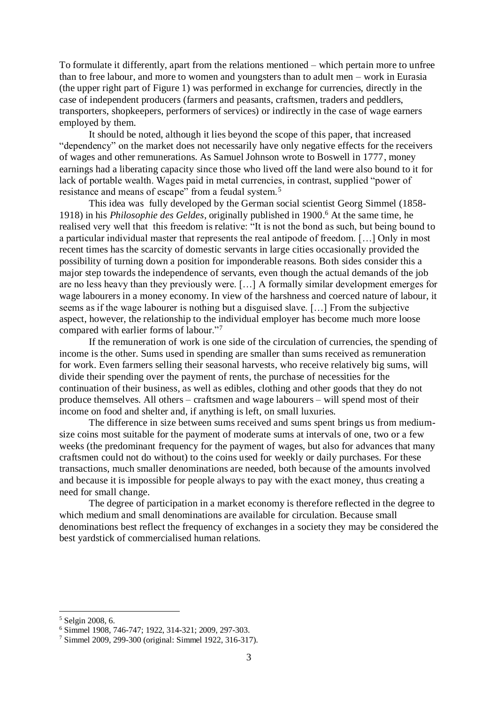To formulate it differently, apart from the relations mentioned – which pertain more to unfree than to free labour, and more to women and youngsters than to adult men – work in Eurasia (the upper right part of Figure 1) was performed in exchange for currencies, directly in the case of independent producers (farmers and peasants, craftsmen, traders and peddlers, transporters, shopkeepers, performers of services) or indirectly in the case of wage earners employed by them.

It should be noted, although it lies beyond the scope of this paper, that increased "dependency" on the market does not necessarily have only negative effects for the receivers of wages and other remunerations. As Samuel Johnson wrote to Boswell in 1777, money earnings had a liberating capacity since those who lived off the land were also bound to it for lack of portable wealth. Wages paid in metal currencies, in contrast, supplied "power of resistance and means of escape" from a feudal system.<sup>5</sup>

This idea was fully developed by the German social scientist Georg Simmel (1858- 1918) in his *Philosophie des Geldes*, originally published in 1900. <sup>6</sup> At the same time, he realised very well that this freedom is relative: "It is not the bond as such, but being bound to a particular individual master that represents the real antipode of freedom. […] Only in most recent times has the scarcity of domestic servants in large cities occasionally provided the possibility of turning down a position for imponderable reasons. Both sides consider this a major step towards the independence of servants, even though the actual demands of the job are no less heavy than they previously were. […] A formally similar development emerges for wage labourers in a money economy. In view of the harshness and coerced nature of labour, it seems as if the wage labourer is nothing but a disguised slave. […] From the subjective aspect, however, the relationship to the individual employer has become much more loose compared with earlier forms of labour."<sup>7</sup>

If the remuneration of work is one side of the circulation of currencies, the spending of income is the other. Sums used in spending are smaller than sums received as remuneration for work. Even farmers selling their seasonal harvests, who receive relatively big sums, will divide their spending over the payment of rents, the purchase of necessities for the continuation of their business, as well as edibles, clothing and other goods that they do not produce themselves. All others – craftsmen and wage labourers – will spend most of their income on food and shelter and, if anything is left, on small luxuries.

The difference in size between sums received and sums spent brings us from mediumsize coins most suitable for the payment of moderate sums at intervals of one, two or a few weeks (the predominant frequency for the payment of wages, but also for advances that many craftsmen could not do without) to the coins used for weekly or daily purchases. For these transactions, much smaller denominations are needed, both because of the amounts involved and because it is impossible for people always to pay with the exact money, thus creating a need for small change.

The degree of participation in a market economy is therefore reflected in the degree to which medium and small denominations are available for circulation. Because small denominations best reflect the frequency of exchanges in a society they may be considered the best yardstick of commercialised human relations.

<sup>5</sup> Selgin 2008, 6.

<sup>6</sup> Simmel 1908, 746-747; 1922, 314-321; 2009, 297-303.

<sup>7</sup> Simmel 2009, 299-300 (original: Simmel 1922, 316-317).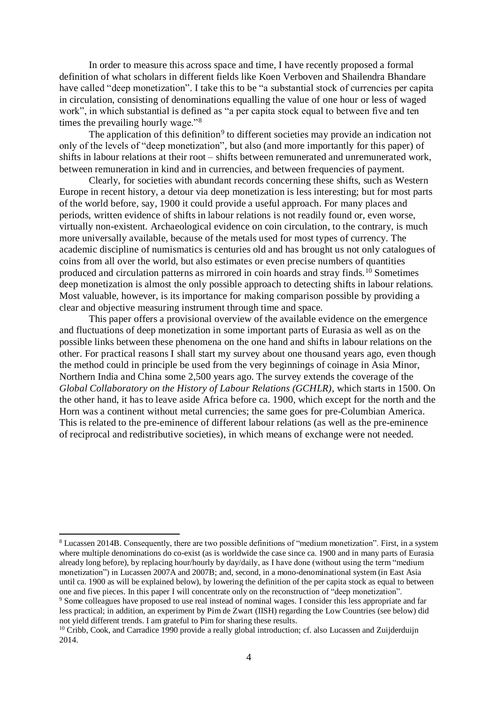In order to measure this across space and time, I have recently proposed a formal definition of what scholars in different fields like Koen Verboven and Shailendra Bhandare have called "deep monetization". I take this to be "a substantial stock of currencies per capita in circulation, consisting of denominations equalling the value of one hour or less of waged work", in which substantial is defined as "a per capita stock equal to between five and ten times the prevailing hourly wage."<sup>8</sup>

The application of this definition<sup>9</sup> to different societies may provide an indication not only of the levels of "deep monetization", but also (and more importantly for this paper) of shifts in labour relations at their root – shifts between remunerated and unremunerated work, between remuneration in kind and in currencies, and between frequencies of payment.

Clearly, for societies with abundant records concerning these shifts, such as Western Europe in recent history, a detour via deep monetization is less interesting; but for most parts of the world before, say, 1900 it could provide a useful approach. For many places and periods, written evidence of shifts in labour relations is not readily found or, even worse, virtually non-existent. Archaeological evidence on coin circulation, to the contrary, is much more universally available, because of the metals used for most types of currency. The academic discipline of numismatics is centuries old and has brought us not only catalogues of coins from all over the world, but also estimates or even precise numbers of quantities produced and circulation patterns as mirrored in coin hoards and stray finds.<sup>10</sup> Sometimes deep monetization is almost the only possible approach to detecting shifts in labour relations. Most valuable, however, is its importance for making comparison possible by providing a clear and objective measuring instrument through time and space.

This paper offers a provisional overview of the available evidence on the emergence and fluctuations of deep monetization in some important parts of Eurasia as well as on the possible links between these phenomena on the one hand and shifts in labour relations on the other. For practical reasons I shall start my survey about one thousand years ago, even though the method could in principle be used from the very beginnings of coinage in Asia Minor, Northern India and China some 2,500 years ago. The survey extends the coverage of the *Global Collaboratory on the History of Labour Relations (GCHLR)*, which starts in 1500. On the other hand, it has to leave aside Africa before ca. 1900, which except for the north and the Horn was a continent without metal currencies; the same goes for pre-Columbian America. This is related to the pre-eminence of different labour relations (as well as the pre-eminence of reciprocal and redistributive societies), in which means of exchange were not needed.

 $\overline{a}$ <sup>8</sup> Lucassen 2014B. Consequently, there are two possible definitions of "medium monetization". First, in a system where multiple denominations do co-exist (as is worldwide the case since ca. 1900 and in many parts of Eurasia already long before), by replacing hour/hourly by day/daily, as I have done (without using the term "medium monetization") in Lucassen 2007A and 2007B; and, second, in a mono-denominational system (in East Asia until ca. 1900 as will be explained below), by lowering the definition of the per capita stock as equal to between one and five pieces. In this paper I will concentrate only on the reconstruction of "deep monetization".

<sup>&</sup>lt;sup>9</sup> Some colleagues have proposed to use real instead of nominal wages. I consider this less appropriate and far less practical; in addition, an experiment by Pim de Zwart (IISH) regarding the Low Countries (see below) did not yield different trends. I am grateful to Pim for sharing these results.

<sup>&</sup>lt;sup>10</sup> Cribb, Cook, and Carradice 1990 provide a really global introduction; cf. also Lucassen and Zuijderduijn 2014.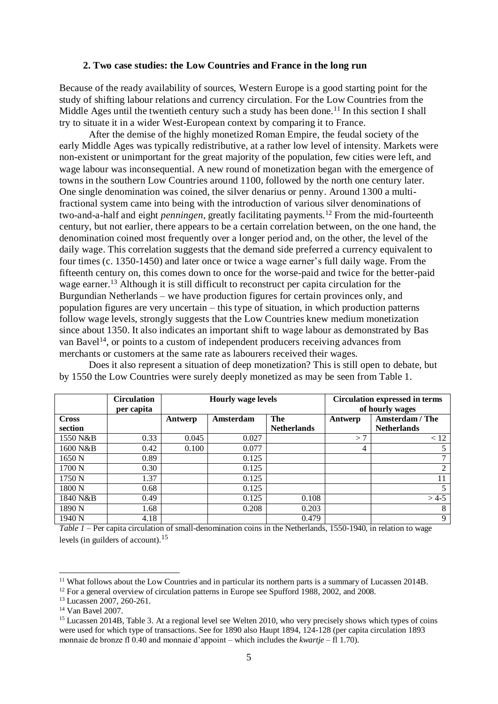#### **2. Two case studies: the Low Countries and France in the long run**

Because of the ready availability of sources, Western Europe is a good starting point for the study of shifting labour relations and currency circulation. For the Low Countries from the Middle Ages until the twentieth century such a study has been done.<sup>11</sup> In this section I shall try to situate it in a wider West-European context by comparing it to France.

After the demise of the highly monetized Roman Empire, the feudal society of the early Middle Ages was typically redistributive, at a rather low level of intensity. Markets were non-existent or unimportant for the great majority of the population, few cities were left, and wage labour was inconsequential. A new round of monetization began with the emergence of towns in the southern Low Countries around 1100, followed by the north one century later. One single denomination was coined, the silver denarius or penny. Around 1300 a multifractional system came into being with the introduction of various silver denominations of two-and-a-half and eight *penningen*, greatly facilitating payments.<sup>12</sup> From the mid-fourteenth century, but not earlier, there appears to be a certain correlation between, on the one hand, the denomination coined most frequently over a longer period and, on the other, the level of the daily wage. This correlation suggests that the demand side preferred a currency equivalent to four times (c. 1350-1450) and later once or twice a wage earner's full daily wage. From the fifteenth century on, this comes down to once for the worse-paid and twice for the better-paid wage earner.<sup>13</sup> Although it is still difficult to reconstruct per capita circulation for the Burgundian Netherlands – we have production figures for certain provinces only, and population figures are very uncertain – this type of situation, in which production patterns follow wage levels, strongly suggests that the Low Countries knew medium monetization since about 1350. It also indicates an important shift to wage labour as demonstrated by Bas van Bavel<sup>14</sup>, or points to a custom of independent producers receiving advances from merchants or customers at the same rate as labourers received their wages.

|              | <b>Circulation</b><br>per capita | <b>Hourly wage levels</b> |           |                    | <b>Circulation expressed in terms</b><br>of hourly wages |                    |
|--------------|----------------------------------|---------------------------|-----------|--------------------|----------------------------------------------------------|--------------------|
| <b>Cross</b> |                                  | Antwerp                   | Amsterdam | The                | Antwerp                                                  | Amsterdam / The    |
| section      |                                  |                           |           | <b>Netherlands</b> |                                                          | <b>Netherlands</b> |
| 1550 N&B     | 0.33                             | 0.045                     | 0.027     |                    | >7                                                       | < 12               |
| 1600 N&B     | 0.42                             | 0.100                     | 0.077     |                    | 4                                                        | 5                  |
| 1650 N       | 0.89                             |                           | 0.125     |                    |                                                          |                    |
| 1700 N       | 0.30                             |                           | 0.125     |                    |                                                          | 2                  |
| 1750 N       | 1.37                             |                           | 0.125     |                    |                                                          | 11                 |
| 1800 N       | 0.68                             |                           | 0.125     |                    |                                                          | 5                  |
| 1840 N&B     | 0.49                             |                           | 0.125     | 0.108              |                                                          | $>4-5$             |
| 1890 N       | 1.68                             |                           | 0.208     | 0.203              |                                                          | 8                  |
| 1940 N       | 4.18                             |                           |           | 0.479              |                                                          | 9                  |

Does it also represent a situation of deep monetization? This is still open to debate, but by 1550 the Low Countries were surely deeply monetized as may be seen from Table 1.

*Table 1* – Per capita circulation of small-denomination coins in the Netherlands, 1550-1940, in relation to wage levels (in guilders of account). 15

<sup>&</sup>lt;sup>11</sup> What follows about the Low Countries and in particular its northern parts is a summary of Lucassen 2014B.

<sup>&</sup>lt;sup>12</sup> For a general overview of circulation patterns in Europe see Spufford 1988, 2002, and 2008.

<sup>13</sup> Lucassen 2007, 260-261.

<sup>14</sup> Van Bavel 2007.

<sup>&</sup>lt;sup>15</sup> Lucassen 2014B, Table 3. At a regional level see Welten 2010, who very precisely shows which types of coins were used for which type of transactions. See for 1890 also Haupt 1894, 124-128 (per capita circulation 1893 monnaie de bronze fl 0.40 and monnaie d'appoint – which includes the *kwartje* – fl 1.70).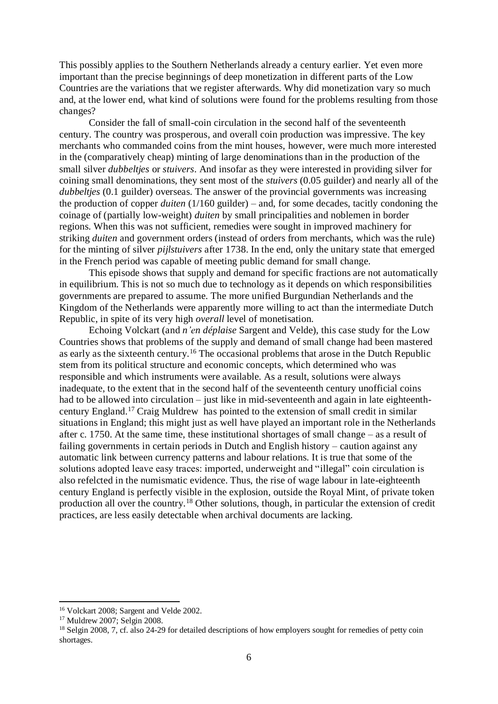This possibly applies to the Southern Netherlands already a century earlier. Yet even more important than the precise beginnings of deep monetization in different parts of the Low Countries are the variations that we register afterwards. Why did monetization vary so much and, at the lower end, what kind of solutions were found for the problems resulting from those changes?

Consider the fall of small-coin circulation in the second half of the seventeenth century. The country was prosperous, and overall coin production was impressive. The key merchants who commanded coins from the mint houses, however, were much more interested in the (comparatively cheap) minting of large denominations than in the production of the small silver *dubbeltjes* or *stuivers*. And insofar as they were interested in providing silver for coining small denominations, they sent most of the *stuivers* (0.05 guilder) and nearly all of the *dubbeltjes* (0.1 guilder) overseas. The answer of the provincial governments was increasing the production of copper *duiten* (1/160 guilder) – and, for some decades, tacitly condoning the coinage of (partially low-weight) *duiten* by small principalities and noblemen in border regions. When this was not sufficient, remedies were sought in improved machinery for striking *duiten* and government orders (instead of orders from merchants, which was the rule) for the minting of silver *pijlstuivers* after 1738. In the end, only the unitary state that emerged in the French period was capable of meeting public demand for small change.

This episode shows that supply and demand for specific fractions are not automatically in equilibrium. This is not so much due to technology as it depends on which responsibilities governments are prepared to assume. The more unified Burgundian Netherlands and the Kingdom of the Netherlands were apparently more willing to act than the intermediate Dutch Republic, in spite of its very high *overall* level of monetisation.

Echoing Volckart (and *n'en déplaise* Sargent and Velde), this case study for the Low Countries shows that problems of the supply and demand of small change had been mastered as early as the sixteenth century.<sup>16</sup> The occasional problems that arose in the Dutch Republic stem from its political structure and economic concepts, which determined who was responsible and which instruments were available. As a result, solutions were always inadequate, to the extent that in the second half of the seventeenth century unofficial coins had to be allowed into circulation – just like in mid-seventeenth and again in late eighteenthcentury England.<sup>17</sup> Craig Muldrew has pointed to the extension of small credit in similar situations in England; this might just as well have played an important role in the Netherlands after c. 1750. At the same time, these institutional shortages of small change – as a result of failing governments in certain periods in Dutch and English history – caution against any automatic link between currency patterns and labour relations. It is true that some of the solutions adopted leave easy traces: imported, underweight and "illegal" coin circulation is also refelcted in the numismatic evidence. Thus, the rise of wage labour in late-eighteenth century England is perfectly visible in the explosion, outside the Royal Mint, of private token production all over the country.<sup>18</sup> Other solutions, though, in particular the extension of credit practices, are less easily detectable when archival documents are lacking.

<sup>&</sup>lt;sup>16</sup> Volckart 2008; Sargent and Velde 2002.

<sup>17</sup> Muldrew 2007; Selgin 2008.

<sup>&</sup>lt;sup>18</sup> Selgin 2008, 7, cf. also 24-29 for detailed descriptions of how employers sought for remedies of petty coin shortages.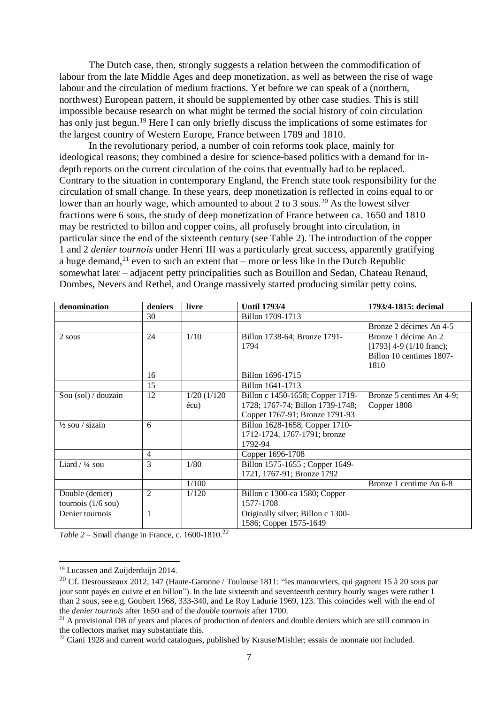The Dutch case, then, strongly suggests a relation between the commodification of labour from the late Middle Ages and deep monetization, as well as between the rise of wage labour and the circulation of medium fractions. Yet before we can speak of a (northern, northwest) European pattern, it should be supplemented by other case studies. This is still impossible because research on what might be termed the social history of coin circulation has only just begun.<sup>19</sup> Here I can only briefly discuss the implications of some estimates for the largest country of Western Europe, France between 1789 and 1810.

In the revolutionary period, a number of coin reforms took place, mainly for ideological reasons; they combined a desire for science-based politics with a demand for indepth reports on the current circulation of the coins that eventually had to be replaced. Contrary to the situation in contemporary England, the French state took responsibility for the circulation of small change. In these years, deep monetization is reflected in coins equal to or lower than an hourly wage, which amounted to about 2 to 3 sous.<sup>20</sup> As the lowest silver fractions were 6 sous, the study of deep monetization of France between ca. 1650 and 1810 may be restricted to billon and copper coins, all profusely brought into circulation, in particular since the end of the sixteenth century (see Table 2). The introduction of the copper 1 and 2 *denier tournois* under Henri III was a particularly great success, apparently gratifying a huge demand,<sup>21</sup> even to such an extent that – more or less like in the Dutch Republic somewhat later – adjacent petty principalities such as Bouillon and Sedan, Chateau Renaud, Dombes, Nevers and Rethel, and Orange massively started producing similar petty coins.

| denomination                                    | deniers        | livre            | <b>Until 1793/4</b>                                                       | 1793/4-1815: decimal                                                                   |
|-------------------------------------------------|----------------|------------------|---------------------------------------------------------------------------|----------------------------------------------------------------------------------------|
|                                                 | 30             |                  | Billon 1709-1713                                                          |                                                                                        |
|                                                 |                |                  |                                                                           | Bronze 2 décimes An 4-5                                                                |
| 2 sous                                          | 24             | 1/10             | Billon 1738-64; Bronze 1791-<br>1794                                      | Bronze 1 décime An 2<br>$[1793]$ 4-9 (1/10 franc);<br>Billon 10 centimes 1807-<br>1810 |
|                                                 | 16             |                  | Billon 1696-1715                                                          |                                                                                        |
|                                                 | 15             |                  | Billon 1641-1713                                                          |                                                                                        |
| Sou (sol) / douzain                             | 12             | $1/20$ ( $1/120$ | Billon c 1450-1658; Copper 1719-                                          | Bronze 5 centimes An 4-9;                                                              |
|                                                 |                | écu)             | 1728; 1767-74; Billon 1739-1748;<br>Copper 1767-91; Bronze 1791-93        | Copper 1808                                                                            |
| $\frac{1}{2}$ sou / sizain                      | 6              |                  | Billon 1628-1658; Copper 1710-<br>1712-1724, 1767-1791; bronze<br>1792-94 |                                                                                        |
|                                                 | 4              |                  | Copper 1696-1708                                                          |                                                                                        |
| Liard $/44$ sou                                 | 3              | 1/80             | Billon 1575-1655; Copper 1649-<br>1721, 1767-91; Bronze 1792              |                                                                                        |
|                                                 |                | 1/100            |                                                                           | Bronze 1 centime An 6-8                                                                |
| Double (denier)<br>tournois $(1/6 \text{ sou})$ | $\overline{2}$ | 1/120            | Billon c 1300-ca 1580; Copper<br>1577-1708                                |                                                                                        |
| Denier tournois                                 | 1              |                  | Originally silver; Billon c 1300-<br>1586; Copper 1575-1649               |                                                                                        |

| Table $2$ – Small change in France, c. 1600-1810. <sup>22</sup> |  |  |
|-----------------------------------------------------------------|--|--|
|                                                                 |  |  |

<sup>&</sup>lt;sup>19</sup> Lucassen and Zuijderduijn 2014.

<sup>20</sup> Cf. Desrousseaux 2012, 147 (Haute-Garonne / Toulouse 1811: "les manouvriers, qui gagnent 15 à 20 sous par jour sont payés en cuivre et en billon"). In the late sixteenth and seventeenth century hourly wages were rather 1 than 2 sous, see e.g. Goubert 1968, 333-340, and Le Roy Ladurie 1969, 123. This coincides well with the end of the *denier tournois* after 1650 and of the *double tournois* after 1700.

<sup>&</sup>lt;sup>21</sup> A provisional DB of years and places of production of deniers and double deniers which are still common in the collectors market may substantiate this.

<sup>&</sup>lt;sup>22</sup> Ciani 1928 and current world catalogues, published by Krause/Mishler; essais de monnaie not included.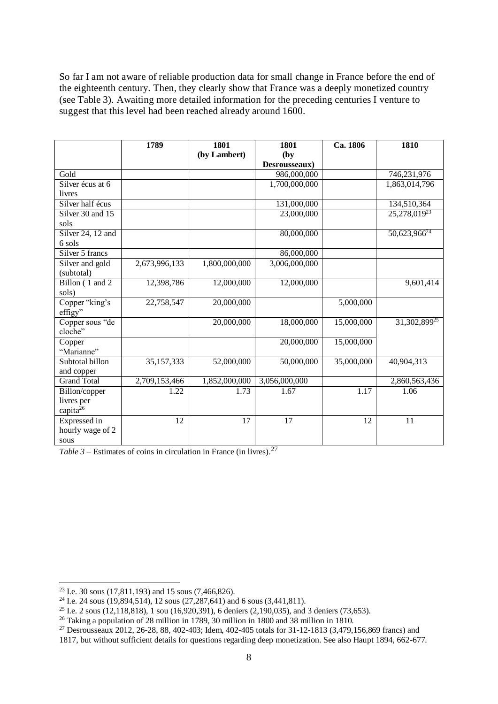So far I am not aware of reliable production data for small change in France before the end of the eighteenth century. Then, they clearly show that France was a deeply monetized country (see Table 3). Awaiting more detailed information for the preceding centuries I venture to suggest that this level had been reached already around 1600.

|                      | 1789          | 1801          | 1801          | Ca. 1806   | 1810                     |
|----------------------|---------------|---------------|---------------|------------|--------------------------|
|                      |               | (by Lambert)  | (by)          |            |                          |
|                      |               |               | Desrousseaux) |            |                          |
| Gold                 |               |               | 986,000,000   |            | 746,231,976              |
| Silver écus at 6     |               |               | 1,700,000,000 |            | 1,863,014,796            |
| livres               |               |               |               |            |                          |
| Silver half écus     |               |               | 131,000,000   |            | 134,510,364              |
| Silver 30 and 15     |               |               | 23,000,000    |            | 25,278,01923             |
| sols                 |               |               |               |            |                          |
| Silver 24, 12 and    |               |               | 80,000,000    |            | 50,623,966 <sup>24</sup> |
| 6 sols               |               |               |               |            |                          |
| Silver 5 francs      |               |               | 86,000,000    |            |                          |
| Silver and gold      | 2,673,996,133 | 1,800,000,000 | 3,006,000,000 |            |                          |
| (subtotal)           |               |               |               |            |                          |
| Billon (1 and 2)     | 12,398,786    | 12,000,000    | 12,000,000    |            | 9,601,414                |
| sols)                |               |               |               |            |                          |
| Copper "king's       | 22,758,547    | 20,000,000    |               | 5,000,000  |                          |
| effigy"              |               |               |               |            |                          |
| Copper sous "de      |               | 20,000,000    | 18,000,000    | 15,000,000 | 31,302,899 <sup>25</sup> |
| cloche"              |               |               |               |            |                          |
| Copper               |               |               | 20,000,000    | 15,000,000 |                          |
| "Marianne"           |               |               |               |            |                          |
| Subtotal billon      | 35,157,333    | 52,000,000    | 50,000,000    | 35,000,000 | 40,904,313               |
| and copper           |               |               |               |            |                          |
| <b>Grand Total</b>   | 2,709,153,466 | 1,852,000,000 | 3,056,000,000 |            | 2,860,563,436            |
| Billon/copper        | 1.22          | 1.73          | 1.67          | 1.17       | 1.06                     |
| livres per           |               |               |               |            |                          |
| capita <sup>26</sup> |               |               |               |            |                          |
| Expressed in         | 12            | 17            | 17            | 12         | 11                       |
| hourly wage of 2     |               |               |               |            |                          |
| sous                 |               |               |               |            |                          |

*Table 3* – Estimates of coins in circulation in France (in livres). 27

<sup>&</sup>lt;sup>23</sup> I.e. 30 sous (17,811,193) and 15 sous (7,466,826).

<sup>&</sup>lt;sup>24</sup> I.e. 24 sous (19,894,514), 12 sous (27,287,641) and 6 sous (3,441,811).

<sup>&</sup>lt;sup>25</sup> I.e. 2 sous (12,118,818), 1 sou (16,920,391), 6 deniers (2,190,035), and 3 deniers (73,653).

<sup>26</sup> Taking a population of 28 million in 1789, 30 million in 1800 and 38 million in 1810.

<sup>27</sup> Desrousseaux 2012, 26-28, 88, 402-403; Idem, 402-405 totals for 31-12-1813 (3,479,156,869 francs) and

<sup>1817,</sup> but without sufficient details for questions regarding deep monetization. See also Haupt 1894, 662-677.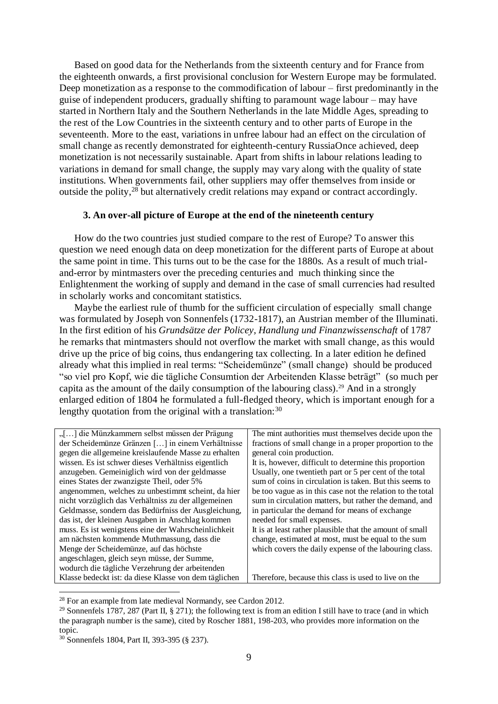Based on good data for the Netherlands from the sixteenth century and for France from the eighteenth onwards, a first provisional conclusion for Western Europe may be formulated. Deep monetization as a response to the commodification of labour – first predominantly in the guise of independent producers, gradually shifting to paramount wage labour – may have started in Northern Italy and the Southern Netherlands in the late Middle Ages, spreading to the rest of the Low Countries in the sixteenth century and to other parts of Europe in the seventeenth. More to the east, variations in unfree labour had an effect on the circulation of small change as recently demonstrated for eighteenth-century RussiaOnce achieved, deep monetization is not necessarily sustainable. Apart from shifts in labour relations leading to variations in demand for small change, the supply may vary along with the quality of state institutions. When governments fail, other suppliers may offer themselves from inside or outside the polity,<sup>28</sup> but alternatively credit relations may expand or contract accordingly.

#### **3. An over-all picture of Europe at the end of the nineteenth century**

How do the two countries just studied compare to the rest of Europe? To answer this question we need enough data on deep monetization for the different parts of Europe at about the same point in time. This turns out to be the case for the 1880s. As a result of much trialand-error by mintmasters over the preceding centuries and much thinking since the Enlightenment the working of supply and demand in the case of small currencies had resulted in scholarly works and concomitant statistics.

Maybe the earliest rule of thumb for the sufficient circulation of especially small change was formulated by Joseph von Sonnenfels (1732-1817), an Austrian member of the Illuminati. In the first edition of his *Grundsätze der Policey, Handlung und Finanzwissenschaft* of 1787 he remarks that mintmasters should not overflow the market with small change, as this would drive up the price of big coins, thus endangering tax collecting. In a later edition he defined already what this implied in real terms: "Scheidemünze" (small change) should be produced "so viel pro Kopf, wie die tägliche Consumtion der Arbeitenden Klasse beträgt" (so much per capita as the amount of the daily consumption of the labouring class). <sup>29</sup> And in a strongly enlarged edition of 1804 he formulated a full-fledged theory, which is important enough for a lengthy quotation from the original with a translation:  $30$ 

| "[] die Münzkammern selbst müssen der Prägung         | The mint authorities must themselves decide upon the       |
|-------------------------------------------------------|------------------------------------------------------------|
| der Scheidemünze Gränzen [] in einem Verhältnisse     | fractions of small change in a proper proportion to the    |
| gegen die allgemeine kreislaufende Masse zu erhalten  | general coin production.                                   |
| wissen. Es ist schwer dieses Verhältniss eigentlich   | It is, however, difficult to determine this proportion     |
| anzugeben. Gemeiniglich wird von der geldmasse        | Usually, one twentieth part or 5 per cent of the total     |
| eines States der zwanzigste Theil, oder 5%            | sum of coins in circulation is taken. But this seems to    |
| angenommen, welches zu unbestimmt scheint, da hier    | be too vague as in this case not the relation to the total |
| nicht vorzüglich das Verhältniss zu der allgemeinen   | sum in circulation matters, but rather the demand, and     |
| Geldmasse, sondern das Bedürfniss der Ausgleichung,   | in particular the demand for means of exchange             |
| das ist, der kleinen Ausgaben in Anschlag kommen      | needed for small expenses.                                 |
| muss. Es ist wenigstens eine der Wahrscheinlichkeit   | It is at least rather plausible that the amount of small   |
| am nächsten kommende Muthmassung, dass die            | change, estimated at most, must be equal to the sum        |
| Menge der Scheidemünze, auf das höchste               | which covers the daily expense of the labouring class.     |
| angeschlagen, gleich seyn müsse, der Summe,           |                                                            |
| wodurch die tägliche Verzehrung der arbeitenden       |                                                            |
| Klasse bedeckt ist: da diese Klasse von dem täglichen | Therefore, because this class is used to live on the       |

<sup>&</sup>lt;sup>28</sup> For an example from late medieval Normandy, see Cardon 2012.

<sup>&</sup>lt;sup>29</sup> Sonnenfels 1787, 287 (Part II, § 271); the following text is from an edition I still have to trace (and in which the paragraph number is the same), cited by Roscher 1881, 198-203, who provides more information on the topic.

<sup>30</sup> Sonnenfels 1804, Part II, 393-395 (§ 237).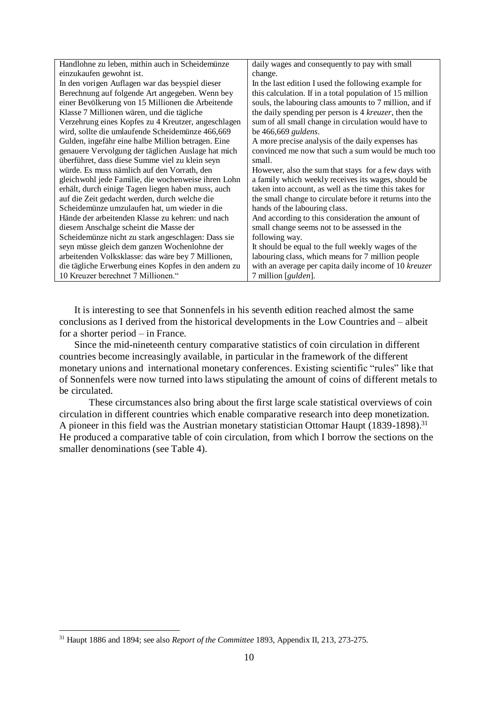| Handlohne zu leben, mithin auch in Scheidemünze      | daily wages and consequently to pay with small           |
|------------------------------------------------------|----------------------------------------------------------|
| einzukaufen gewohnt ist.                             | change.                                                  |
| In den vorigen Auflagen war das beyspiel dieser      | In the last edition I used the following example for     |
| Berechnung auf folgende Art angegeben. Wenn bey      | this calculation. If in a total population of 15 million |
| einer Bevölkerung von 15 Millionen die Arbeitende    | souls, the labouring class amounts to 7 million, and if  |
| Klasse 7 Millionen wären, und die tägliche           | the daily spending per person is 4 kreuzer, then the     |
| Verzehrung eines Kopfes zu 4 Kreutzer, angeschlagen  | sum of all small change in circulation would have to     |
| wird, sollte die umlaufende Scheidemünze 466,669     | be 466,669 guldens.                                      |
| Gulden, ingefähr eine halbe Million betragen. Eine   | A more precise analysis of the daily expenses has        |
| genauere Vervolgung der täglichen Auslage hat mich   | convinced me now that such a sum would be much too       |
| überführet, dass diese Summe viel zu klein seyn      | small.                                                   |
| würde. Es muss nämlich auf den Vorrath, den          | However, also the sum that stays for a few days with     |
| gleichwohl jede Familie, die wochenweise ihren Lohn  | a family which weekly receives its wages, should be      |
| erhält, durch einige Tagen liegen haben muss, auch   | taken into account, as well as the time this takes for   |
| auf die Zeit gedacht werden, durch welche die        | the small change to circulate before it returns into the |
| Scheidemünze umzulaufen hat, um wieder in die        | hands of the labouring class.                            |
| Hände der arbeitenden Klasse zu kehren: und nach     | And according to this consideration the amount of        |
| diesem Anschalge scheint die Masse der               | small change seems not to be assessed in the             |
| Scheidemünze nicht zu stark angeschlagen: Dass sie   | following way.                                           |
| seyn müsse gleich dem ganzen Wochenlohne der         | It should be equal to the full weekly wages of the       |
| arbeitenden Volksklasse: das wäre bey 7 Millionen,   | labouring class, which means for 7 million people        |
| die tägliche Erwerbung eines Kopfes in den andern zu | with an average per capita daily income of 10 kreuzer    |
| 10 Kreuzer berechnet 7 Millionen."                   | 7 million [gulden].                                      |

It is interesting to see that Sonnenfels in his seventh edition reached almost the same conclusions as I derived from the historical developments in the Low Countries and – albeit for a shorter period – in France.

Since the mid-nineteenth century comparative statistics of coin circulation in different countries become increasingly available, in particular in the framework of the different monetary unions and international monetary conferences. Existing scientific "rules" like that of Sonnenfels were now turned into laws stipulating the amount of coins of different metals to be circulated.

These circumstances also bring about the first large scale statistical overviews of coin circulation in different countries which enable comparative research into deep monetization. A pioneer in this field was the Austrian monetary statistician Ottomar Haupt (1839-1898).<sup>31</sup> He produced a comparative table of coin circulation, from which I borrow the sections on the smaller denominations (see Table 4).

<sup>31</sup> Haupt 1886 and 1894; see also *Report of the Committee* 1893, Appendix II, 213, 273-275.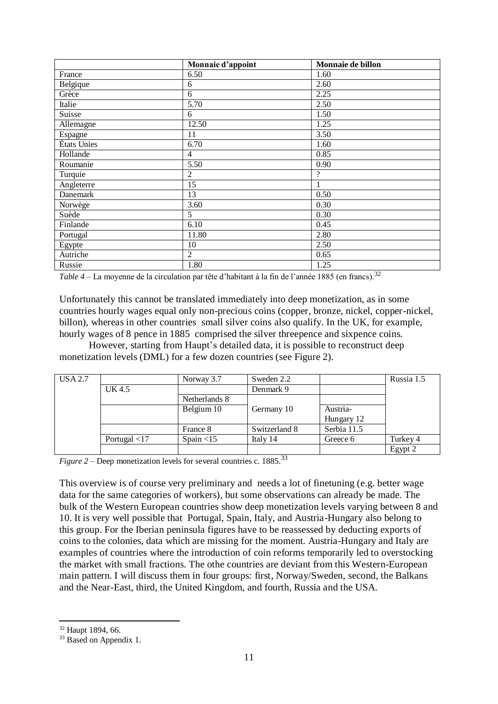|             | Monnaie d'appoint | Monnaie de billon |
|-------------|-------------------|-------------------|
| France      | 6.50              | 1.60              |
| Belgique    | 6                 | 2.60              |
| Grèce       | 6                 | 2.25              |
| Italie      | 5.70              | 2.50              |
| Suisse      | 6                 | 1.50              |
| Allemagne   | 12.50             | 1.25              |
| Espagne     | 11                | 3.50              |
| États Unies | 6.70              | 1.60              |
| Hollande    | $\overline{4}$    | 0.85              |
| Roumanie    | 5.50              | 0.90              |
| Turquie     | $\overline{2}$    | $\gamma$          |
| Angleterre  | 15                | -1                |
| Danemark    | 13                | 0.50              |
| Norwège     | 3.60              | 0.30              |
| Suède       | 5                 | 0.30              |
| Finlande    | 6.10              | 0.45              |
| Portugal    | 11.80             | 2.80              |
| Egypte      | 10                | 2.50              |
| Autriche    | $\overline{2}$    | 0.65              |
| Russie      | 1.80              | 1.25              |

*Table* 4 – La moyenne de la circulation par tête d'habitant à la fin de l'année 1885 (en francs).<sup>32</sup>

Unfortunately this cannot be translated immediately into deep monetization, as in some countries hourly wages equal only non-precious coins (copper, bronze, nickel, copper-nickel, billon), whereas in other countries small silver coins also qualify. In the UK, for example, hourly wages of 8 pence in 1885 comprised the silver threepence and sixpence coins.

However, starting from Haupt's detailed data, it is possible to reconstruct deep monetization levels (DML) for a few dozen countries (see Figure 2).

| USA 2.7 |                       | Norway 3.7    | Sweden 2.2    |             | Russia 1.5 |
|---------|-----------------------|---------------|---------------|-------------|------------|
|         | UK 4.5                |               | Denmark 9     |             |            |
|         |                       | Netherlands 8 |               |             |            |
|         |                       | Belgium 10    | Germany 10    | Austria-    |            |
|         |                       |               |               | Hungary 12  |            |
|         |                       | France 8      | Switzerland 8 | Serbia 11.5 |            |
|         | Portugal $\langle 17$ | Spain $<$ 15  | Italy 14      | Greece 6    | Turkey 4   |
|         |                       |               |               |             | Egypt 2    |

*Figure 2* – Deep monetization levels for several countries c. 1885.<sup>33</sup>

This overview is of course very preliminary and needs a lot of finetuning (e.g. better wage data for the same categories of workers), but some observations can already be made. The bulk of the Western European countries show deep monetization levels varying between 8 and 10. It is very well possible that Portugal, Spain, Italy, and Austria-Hungary also belong to this group. For the Iberian peninsula figures have to be reassessed by deducting exports of coins to the colonies, data which are missing for the moment. Austria-Hungary and Italy are examples of countries where the introduction of coin reforms temporarily led to overstocking the market with small fractions. The othe countries are deviant from this Western-European main pattern. I will discuss them in four groups: first, Norway/Sweden, second, the Balkans and the Near-East, third, the United Kingdom, and fourth, Russia and the USA.

<sup>32</sup> Haupt 1894, 66.

<sup>&</sup>lt;sup>33</sup> Based on Appendix 1.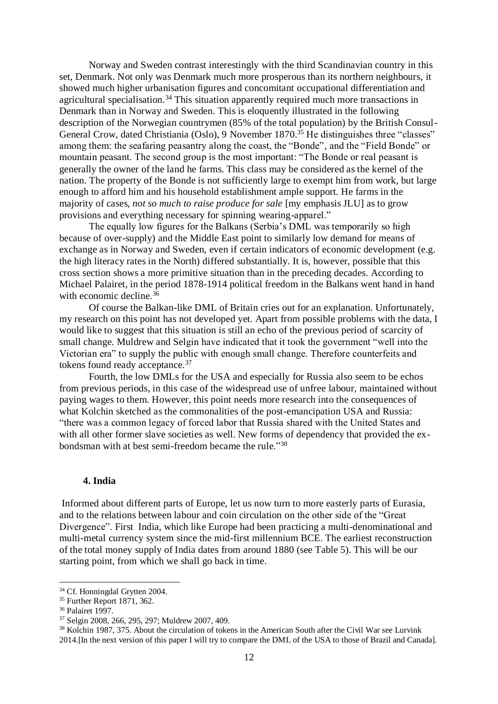Norway and Sweden contrast interestingly with the third Scandinavian country in this set, Denmark. Not only was Denmark much more prosperous than its northern neighbours, it showed much higher urbanisation figures and concomitant occupational differentiation and agricultural specialisation.<sup>34</sup> This situation apparently required much more transactions in Denmark than in Norway and Sweden. This is eloquently illustrated in the following description of the Norwegian countrymen (85% of the total population) by the British Consul-General Crow, dated Christiania (Oslo), 9 November 1870.<sup>35</sup> He distinguishes three "classes" among them: the seafaring peasantry along the coast, the "Bonde", and the "Field Bonde" or mountain peasant. The second group is the most important: "The Bonde or real peasant is generally the owner of the land he farms. This class may be considered as the kernel of the nation. The property of the Bonde is not sufficiently large to exempt him from work, but large enough to afford him and his household establishment ample support. He farms in the majority of cases, *not so much to raise produce for sale* [my emphasis JLU] as to grow provisions and everything necessary for spinning wearing-apparel."

The equally low figures for the Balkans (Serbia's DML was temporarily so high because of over-supply) and the Middle East point to similarly low demand for means of exchange as in Norway and Sweden, even if certain indicators of economic development (e.g. the high literacy rates in the North) differed substantially. It is, however, possible that this cross section shows a more primitive situation than in the preceding decades. According to Michael Palairet, in the period 1878-1914 political freedom in the Balkans went hand in hand with economic decline.<sup>36</sup>

Of course the Balkan-like DML of Britain cries out for an explanation. Unfortunately, my research on this point has not developed yet. Apart from possible problems with the data, I would like to suggest that this situation is still an echo of the previous period of scarcity of small change. Muldrew and Selgin have indicated that it took the government "well into the Victorian era" to supply the public with enough small change. Therefore counterfeits and tokens found ready acceptance.<sup>37</sup>

Fourth, the low DMLs for the USA and especially for Russia also seem to be echos from previous periods, in this case of the widespread use of unfree labour, maintained without paying wages to them. However, this point needs more research into the consequences of what Kolchin sketched as the commonalities of the post-emancipation USA and Russia: "there was a common legacy of forced labor that Russia shared with the United States and with all other former slave societies as well. New forms of dependency that provided the exbondsman with at best semi-freedom became the rule." 38

#### **4. India**

Informed about different parts of Europe, let us now turn to more easterly parts of Eurasia, and to the relations between labour and coin circulation on the other side of the "Great Divergence". First India, which like Europe had been practicing a multi-denominational and multi-metal currency system since the mid-first millennium BCE. The earliest reconstruction of the total money supply of India dates from around 1880 (see Table 5). This will be our starting point, from which we shall go back in time.

<sup>34</sup> Cf. Honningdal Grytten 2004.

<sup>35</sup> Further Report 1871, 362.

<sup>36</sup> Palairet 1997.

<sup>37</sup> Selgin 2008, 266, 295, 297; Muldrew 2007, 409.

<sup>38</sup> Kolchin 1987, 375. About the circulation of tokens in the American South after the Civil War see Lurvink 2014.[In the next version of this paper I will try to compare the DML of the USA to those of Brazil and Canada].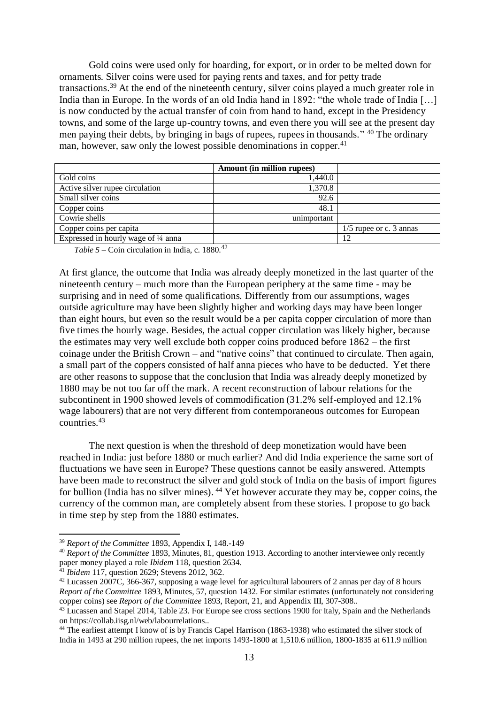Gold coins were used only for hoarding, for export, or in order to be melted down for ornaments. Silver coins were used for paying rents and taxes, and for petty trade transactions.<sup>39</sup> At the end of the nineteenth century, silver coins played a much greater role in India than in Europe. In the words of an old India hand in 1892: "the whole trade of India [...] is now conducted by the actual transfer of coin from hand to hand, except in the Presidency towns, and some of the large up-country towns, and even there you will see at the present day men paying their debts, by bringing in bags of rupees, rupees in thousands." <sup>40</sup> The ordinary man, however, saw only the lowest possible denominations in copper.<sup>41</sup>

|                                      | <b>Amount (in million rupees)</b> |                           |
|--------------------------------------|-----------------------------------|---------------------------|
| Gold coins                           | 1,440.0                           |                           |
| Active silver rupee circulation      | 1,370.8                           |                           |
| Small silver coins                   | 92.6                              |                           |
| Copper coins                         | 48.1                              |                           |
| Cowrie shells                        | unimportant                       |                           |
| Copper coins per capita              |                                   | $1/5$ rupee or c. 3 annas |
| Expressed in hourly wage of 1/4 anna |                                   | 12                        |

*Table 5* – Coin circulation in India, c. 1880. 42

At first glance, the outcome that India was already deeply monetized in the last quarter of the nineteenth century – much more than the European periphery at the same time - may be surprising and in need of some qualifications. Differently from our assumptions, wages outside agriculture may have been slightly higher and working days may have been longer than eight hours, but even so the result would be a per capita copper circulation of more than five times the hourly wage. Besides, the actual copper circulation was likely higher, because the estimates may very well exclude both copper coins produced before 1862 – the first coinage under the British Crown – and "native coins" that continued to circulate. Then again, a small part of the coppers consisted of half anna pieces who have to be deducted. Yet there are other reasons to suppose that the conclusion that India was already deeply monetized by 1880 may be not too far off the mark. A recent reconstruction of labour relations for the subcontinent in 1900 showed levels of commodification (31.2% self-employed and 12.1% wage labourers) that are not very different from contemporaneous outcomes for European countries. 43

The next question is when the threshold of deep monetization would have been reached in India: just before 1880 or much earlier? And did India experience the same sort of fluctuations we have seen in Europe? These questions cannot be easily answered. Attempts have been made to reconstruct the silver and gold stock of India on the basis of import figures for bullion (India has no silver mines). <sup>44</sup> Yet however accurate they may be, copper coins, the currency of the common man, are completely absent from these stories. I propose to go back in time step by step from the 1880 estimates.

 $\overline{a}$ <sup>39</sup> *Report of the Committee* 1893, Appendix I, 148.-149

<sup>40</sup> *Report of the Committee* 1893, Minutes, 81, question 1913. According to another interviewee only recently paper money played a role *Ibidem* 118, question 2634.

<sup>41</sup> *Ibidem* 117, question 2629; Stevens 2012, 362.

<sup>&</sup>lt;sup>42</sup> Lucassen 2007C, 366-367, supposing a wage level for agricultural labourers of 2 annas per day of 8 hours *Report of the Committee* 1893, Minutes, 57, question 1432. For similar estimates (unfortunately not considering copper coins) see *Report of the Committee* 1893, Report, 21, and Appendix III, 307-308..

<sup>43</sup> Lucassen and Stapel 2014, Table 23. For Europe see cross sections 1900 for Italy, Spain and the Netherlands on https://collab.iisg.nl/web/labourrelations..

<sup>&</sup>lt;sup>44</sup> The earliest attempt I know of is by Francis Capel Harrison (1863-1938) who estimated the silver stock of India in 1493 at 290 million rupees, the net imports 1493-1800 at 1,510.6 million, 1800-1835 at 611.9 million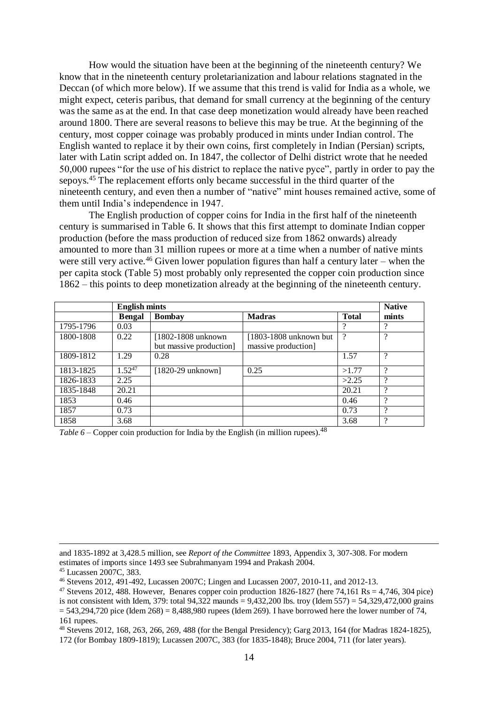How would the situation have been at the beginning of the nineteenth century? We know that in the nineteenth century proletarianization and labour relations stagnated in the Deccan (of which more below). If we assume that this trend is valid for India as a whole, we might expect, ceteris paribus, that demand for small currency at the beginning of the century was the same as at the end. In that case deep monetization would already have been reached around 1800. There are several reasons to believe this may be true. At the beginning of the century, most copper coinage was probably produced in mints under Indian control. The English wanted to replace it by their own coins, first completely in Indian (Persian) scripts, later with Latin script added on. In 1847, the collector of Delhi district wrote that he needed 50,000 rupees "for the use of his district to replace the native pyce", partly in order to pay the sepoys.<sup>45</sup> The replacement efforts only became successful in the third quarter of the nineteenth century, and even then a number of "native" mint houses remained active, some of them until India's independence in 1947.

The English production of copper coins for India in the first half of the nineteenth century is summarised in Table 6. It shows that this first attempt to dominate Indian copper production (before the mass production of reduced size from 1862 onwards) already amounted to more than 31 million rupees or more at a time when a number of native mints were still very active.<sup>46</sup> Given lower population figures than half a century later – when the per capita stock (Table 5) most probably only represented the copper coin production since 1862 – this points to deep monetization already at the beginning of the nineteenth century.

|           |                | <b>Native</b>               |                          |              |               |
|-----------|----------------|-----------------------------|--------------------------|--------------|---------------|
|           | <b>B</b> engal | <b>Bombay</b>               | <b>Madras</b>            | <b>Total</b> | mints         |
| 1795-1796 | 0.03           |                             |                          | 9            | റ             |
| 1800-1808 | 0.22           | [1802-1808 unknown]         | $[1803-1808$ unknown but | $\gamma$     | $\Omega$      |
|           |                | but massive production]     | massive production]      |              |               |
| 1809-1812 | 1.29           | 0.28                        |                          | 1.57         | $\mathcal{D}$ |
| 1813-1825 | $1.52^{47}$    | $[1820-29 \text{ unknown}]$ | 0.25                     | >1.77        | $\Omega$      |
| 1826-1833 | 2.25           |                             |                          | >2.25        | റ             |
| 1835-1848 | 20.21          |                             |                          | 20.21        | $\Omega$      |
| 1853      | 0.46           |                             |                          | 0.46         | റ             |
| 1857      | 0.73           |                             |                          | 0.73         | റ             |
| 1858      | 3.68           |                             |                          | 3.68         | റ             |

*Table 6* – Copper coin production for India by the English (in million rupees).<sup>48</sup>

and 1835-1892 at 3,428.5 million, see *Report of the Committee* 1893, Appendix 3, 307-308. For modern estimates of imports since 1493 see Subrahmanyam 1994 and Prakash 2004.

<sup>45</sup> Lucassen 2007C, 383.

<sup>46</sup> Stevens 2012, 491-492, Lucassen 2007C; Lingen and Lucassen 2007, 2010-11, and 2012-13.

<sup>&</sup>lt;sup>47</sup> Stevens 2012, 488. However, Benares copper coin production  $1826-1827$  (here 74,161 Rs = 4,746, 304 pice)

is not consistent with Idem, 379: total  $94,322$  maunds =  $9,432,200$  lbs. troy (Idem 557) = 54,329,472,000 grains  $= 543,294,720$  pice (Idem 268) = 8,488,980 rupees (Idem 269). I have borrowed here the lower number of 74, 161 rupees.

<sup>48</sup> Stevens 2012, 168, 263, 266, 269, 488 (for the Bengal Presidency); Garg 2013, 164 (for Madras 1824-1825), 172 (for Bombay 1809-1819); Lucassen 2007C, 383 (for 1835-1848); Bruce 2004, 711 (for later years).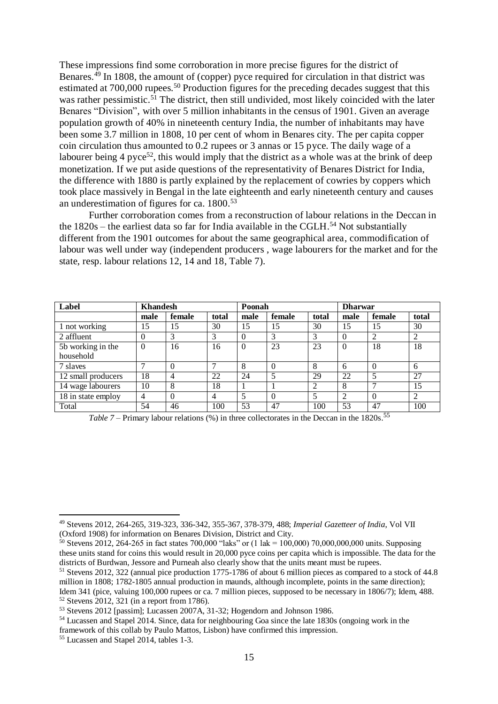These impressions find some corroboration in more precise figures for the district of Benares.<sup>49</sup> In 1808, the amount of (copper) pyce required for circulation in that district was estimated at 700,000 rupees.<sup>50</sup> Production figures for the preceding decades suggest that this was rather pessimistic.<sup>51</sup> The district, then still undivided, most likely coincided with the later Benares "Division", with over 5 million inhabitants in the census of 1901. Given an average population growth of 40% in nineteenth century India, the number of inhabitants may have been some 3.7 million in 1808, 10 per cent of whom in Benares city. The per capita copper coin circulation thus amounted to 0.2 rupees or 3 annas or 15 pyce. The daily wage of a labourer being 4 pyce<sup>52</sup>, this would imply that the district as a whole was at the brink of deep monetization. If we put aside questions of the representativity of Benares District for India, the difference with 1880 is partly explained by the replacement of cowries by coppers which took place massively in Bengal in the late eighteenth and early nineteenth century and causes an underestimation of figures for ca. 1800.<sup>53</sup>

Further corroboration comes from a reconstruction of labour relations in the Deccan in the 1820s – the earliest data so far for India available in the CGLH.<sup>54</sup> Not substantially different from the 1901 outcomes for about the same geographical area, commodification of labour was well under way (independent producers , wage labourers for the market and for the state, resp. labour relations 12, 14 and 18, Table 7).

| Label              | <b>Khandesh</b> |                |                | Poonah   |          |       | <b>Dharwar</b> |          |                |
|--------------------|-----------------|----------------|----------------|----------|----------|-------|----------------|----------|----------------|
|                    | male            | female         | total          | male     | female   | total | male           | female   | total          |
| 1 not working      | 15              | 15             | 30             | 15       | 15       | 30    | 15             | 15       | 30             |
| 2 affluent         | $\theta$        | 3              | 3              | $\Omega$ | 3        | 3     | $\Omega$       | 2        | $\overline{2}$ |
| 5b working in the  | $\theta$        | 16             | 16             | $\Omega$ | 23       | 23    | $\Omega$       | 18       | 18             |
| household          |                 |                |                |          |          |       |                |          |                |
| 7 slaves           | ┑               | $\Omega$       |                | 8        | $\theta$ | 8     | 6              | 0        | 6              |
| 12 small producers | 18              | $\overline{4}$ | 22             | 24       | 5        | 29    | 22             | 5        | 27             |
| 14 wage labourers  | 10              | 8              | 18             |          |          | 2     | 8              | ⇁        | 15             |
| 18 in state employ | 4               | $\Omega$       | $\overline{4}$ | 5        | $\Omega$ | 5     | $\overline{2}$ | $\Omega$ | 2              |
| Total              | 54              | 46             | 100            | 53       | 47       | 100   | 53             | 47       | 100            |

Table 7 – Primary labour relations (%) in three collectorates in the Deccan in the 1820s.<sup>55</sup>

<sup>49</sup> Stevens 2012, 264-265, 319-323, 336-342, 355-367, 378-379, 488; *Imperial Gazetteer of India*, Vol VII (Oxford 1908) for information on Benares Division, District and City.

<sup>&</sup>lt;sup>50</sup> Stevens 2012, 264-265 in fact states 700,000 "laks" or (1 lak = 100,000) 70,000,000,000 units. Supposing these units stand for coins this would result in 20,000 pyce coins per capita which is impossible. The data for the districts of Burdwan, Jessore and Purneah also clearly show that the units meant must be rupees.

<sup>51</sup> Stevens 2012, 322 (annual pice production 1775-1786 of about 6 million pieces as compared to a stock of 44.8 million in 1808; 1782-1805 annual production in maunds, although incomplete, points in the same direction); Idem 341 (pice, valuing 100,000 rupees or ca. 7 million pieces, supposed to be necessary in 1806/7); Idem, 488.  $52$  Stevens 2012, 321 (in a report from 1786).

<sup>53</sup> Stevens 2012 [passim]; Lucassen 2007A, 31-32; Hogendorn and Johnson 1986.

<sup>54</sup> Lucassen and Stapel 2014. Since, data for neighbouring Goa since the late 1830s (ongoing work in the framework of this collab by Paulo Mattos, Lisbon) have confirmed this impression.

<sup>55</sup> Lucassen and Stapel 2014, tables 1-3.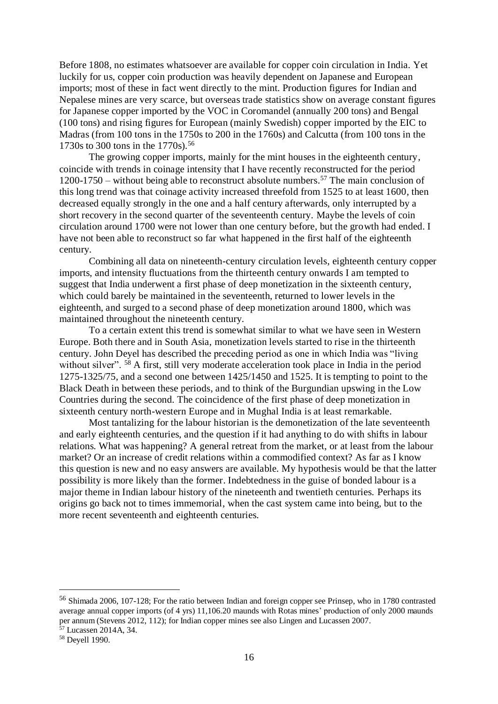Before 1808, no estimates whatsoever are available for copper coin circulation in India. Yet luckily for us, copper coin production was heavily dependent on Japanese and European imports; most of these in fact went directly to the mint. Production figures for Indian and Nepalese mines are very scarce, but overseas trade statistics show on average constant figures for Japanese copper imported by the VOC in Coromandel (annually 200 tons) and Bengal (100 tons) and rising figures for European (mainly Swedish) copper imported by the EIC to Madras (from 100 tons in the 1750s to 200 in the 1760s) and Calcutta (from 100 tons in the 1730s to 300 tons in the 1770s).<sup>56</sup>

The growing copper imports, mainly for the mint houses in the eighteenth century, coincide with trends in coinage intensity that I have recently reconstructed for the period 1200-1750 – without being able to reconstruct absolute numbers. <sup>57</sup> The main conclusion of this long trend was that coinage activity increased threefold from 1525 to at least 1600, then decreased equally strongly in the one and a half century afterwards, only interrupted by a short recovery in the second quarter of the seventeenth century. Maybe the levels of coin circulation around 1700 were not lower than one century before, but the growth had ended. I have not been able to reconstruct so far what happened in the first half of the eighteenth century.

Combining all data on nineteenth-century circulation levels, eighteenth century copper imports, and intensity fluctuations from the thirteenth century onwards I am tempted to suggest that India underwent a first phase of deep monetization in the sixteenth century, which could barely be maintained in the seventeenth, returned to lower levels in the eighteenth, and surged to a second phase of deep monetization around 1800, which was maintained throughout the nineteenth century.

To a certain extent this trend is somewhat similar to what we have seen in Western Europe. Both there and in South Asia, monetization levels started to rise in the thirteenth century. John Deyel has described the preceding period as one in which India was "living without silver". <sup>58</sup> A first, still very moderate acceleration took place in India in the period 1275-1325/75, and a second one between 1425/1450 and 1525. It is tempting to point to the Black Death in between these periods, and to think of the Burgundian upswing in the Low Countries during the second. The coincidence of the first phase of deep monetization in sixteenth century north-western Europe and in Mughal India is at least remarkable.

Most tantalizing for the labour historian is the demonetization of the late seventeenth and early eighteenth centuries, and the question if it had anything to do with shifts in labour relations. What was happening? A general retreat from the market, or at least from the labour market? Or an increase of credit relations within a commodified context? As far as I know this question is new and no easy answers are available. My hypothesis would be that the latter possibility is more likely than the former. Indebtedness in the guise of bonded labour is a major theme in Indian labour history of the nineteenth and twentieth centuries. Perhaps its origins go back not to times immemorial, when the cast system came into being, but to the more recent seventeenth and eighteenth centuries.

<sup>56</sup> Shimada 2006, 107-128; For the ratio between Indian and foreign copper see Prinsep, who in 1780 contrasted average annual copper imports (of 4 yrs) 11,106.20 maunds with Rotas mines' production of only 2000 maunds per annum (Stevens 2012, 112); for Indian copper mines see also Lingen and Lucassen 2007.

<sup>57</sup> Lucassen 2014A, 34.

<sup>58</sup> Deyell 1990.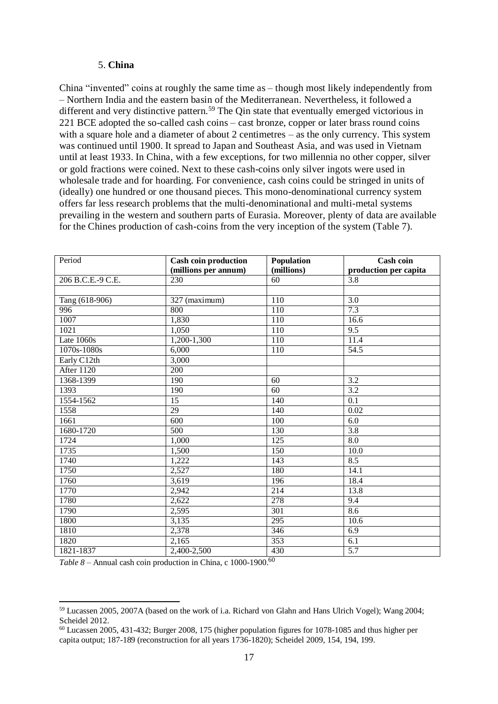#### 5. **China**

China "invented" coins at roughly the same time as – though most likely independently from – Northern India and the eastern basin of the Mediterranean. Nevertheless, it followed a different and very distinctive pattern.<sup>59</sup> The Qin state that eventually emerged victorious in 221 BCE adopted the so-called cash coins – cast bronze, copper or later brass round coins with a square hole and a diameter of about 2 centimetres – as the only currency. This system was continued until 1900. It spread to Japan and Southeast Asia, and was used in Vietnam until at least 1933. In China, with a few exceptions, for two millennia no other copper, silver or gold fractions were coined. Next to these cash-coins only silver ingots were used in wholesale trade and for hoarding. For convenience, cash coins could be stringed in units of (ideally) one hundred or one thousand pieces. This mono-denominational currency system offers far less research problems that the multi-denominational and multi-metal systems prevailing in the western and southern parts of Eurasia. Moreover, plenty of data are available for the Chines production of cash-coins from the very inception of the system (Table 7).

| Period            | <b>Cash coin production</b><br>Population |                  | <b>Cash coin</b>      |  |
|-------------------|-------------------------------------------|------------------|-----------------------|--|
|                   | (millions per annum)                      | (millions)       | production per capita |  |
| 206 B.C.E.-9 C.E. | 230                                       | 60               | 3.8                   |  |
|                   |                                           |                  |                       |  |
| Tang (618-906)    | 327 (maximum)                             | 110              | 3.0                   |  |
| 996               | 800                                       | $\overline{110}$ | 7.3                   |  |
| 1007              | 1,830                                     | 110              | 16.6                  |  |
| 1021              | 1,050                                     | 110              | 9.5                   |  |
| Late 1060s        | 1,200-1,300                               | 110              | 11.4                  |  |
| 1070s-1080s       | 6,000                                     | $\overline{110}$ | $\overline{54.5}$     |  |
| Early C12th       | 3,000                                     |                  |                       |  |
| After 1120        | $\overline{200}$                          |                  |                       |  |
| 1368-1399         | 190                                       | 60               | 3.2                   |  |
| 1393              | 190                                       | 60               | 3.2                   |  |
| 1554-1562         | 15                                        | 140              | 0.1                   |  |
| 1558              | $\overline{29}$                           | 140              | 0.02                  |  |
| 1661              | 600                                       | 100              | 6.0                   |  |
| 1680-1720         | $\overline{500}$                          | 130              | $\overline{3.8}$      |  |
| 1724              | 1,000                                     | 125              | 8.0                   |  |
| 1735              | 1,500                                     | 150              | 10.0                  |  |
| 1740              | 1,222                                     | 143              | 8.5                   |  |
| 1750              | 2,527                                     | 180              | 14.1                  |  |
| 1760              | 3,619                                     | 196              | 18.4                  |  |
| 1770              | 2,942                                     | 214              | 13.8                  |  |
| 1780              | 2,622                                     | 278              | 9.4                   |  |
| 1790              | 2,595                                     | 301              | 8.6                   |  |
| 1800              | 3,135                                     | 295              | 10.6                  |  |
| 1810              | 2,378                                     | 346              | 6.9                   |  |
| 1820              | 2,165                                     | 353              | 6.1                   |  |
| 1821-1837         | 2,400-2,500                               | 430              | $\overline{5.7}$      |  |

*Table 8* – Annual cash coin production in China, c 1000-1900. 60

<sup>59</sup> Lucassen 2005, 2007A (based on the work of i.a. Richard von Glahn and Hans Ulrich Vogel); Wang 2004; Scheidel 2012.

<sup>60</sup> Lucassen 2005, 431-432; Burger 2008, 175 (higher population figures for 1078-1085 and thus higher per capita output; 187-189 (reconstruction for all years 1736-1820); Scheidel 2009, 154, 194, 199.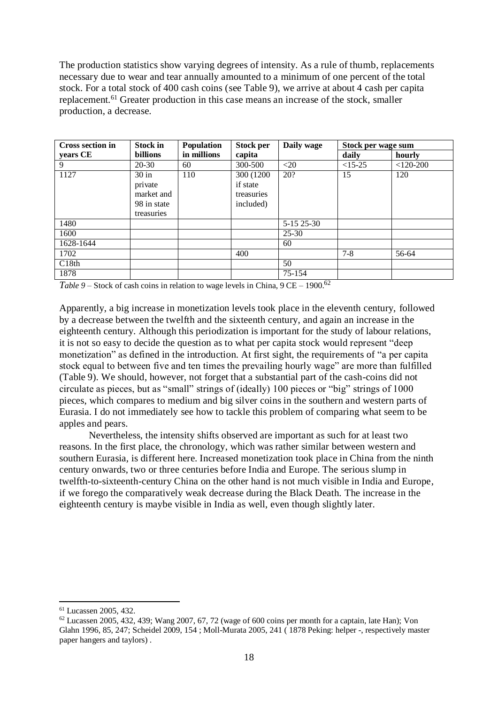The production statistics show varying degrees of intensity. As a rule of thumb, replacements necessary due to wear and tear annually amounted to a minimum of one percent of the total stock. For a total stock of 400 cash coins (see Table 9), we arrive at about 4 cash per capita replacement.<sup>61</sup> Greater production in this case means an increase of the stock, smaller production, a decrease.

| <b>Cross section in</b> | Stock in        | <b>Population</b> | <b>Stock per</b> | Daily wage | Stock per wage sum |             |
|-------------------------|-----------------|-------------------|------------------|------------|--------------------|-------------|
| years CE                | <b>billions</b> | in millions       | capita           |            | daily              | hourly      |
| 9                       | 20-30           | 60                | 300-500          | $<$ 20     | $<15-25$           | $<$ 120-200 |
| 1127                    | $30$ in         | 110               | 300 (1200)       | 20?        | 15                 | 120         |
|                         | private         |                   | if state         |            |                    |             |
|                         | market and      |                   | treasuries       |            |                    |             |
|                         | 98 in state     |                   | included)        |            |                    |             |
|                         | treasuries      |                   |                  |            |                    |             |
| 1480                    |                 |                   |                  | 5-15 25-30 |                    |             |
| 1600                    |                 |                   |                  | $25 - 30$  |                    |             |
| 1628-1644               |                 |                   |                  | 60         |                    |             |
| 1702                    |                 |                   | 400              |            | $7 - 8$            | 56-64       |
| C18th                   |                 |                   |                  | 50         |                    |             |
| 1878                    |                 |                   |                  | 75-154     |                    |             |

*Table 9* – Stock of cash coins in relation to wage levels in China, 9 CE – 1900. 62

Apparently, a big increase in monetization levels took place in the eleventh century, followed by a decrease between the twelfth and the sixteenth century, and again an increase in the eighteenth century. Although this periodization is important for the study of labour relations, it is not so easy to decide the question as to what per capita stock would represent "deep monetization" as defined in the introduction. At first sight, the requirements of "a per capita stock equal to between five and ten times the prevailing hourly wage" are more than fulfilled (Table 9). We should, however, not forget that a substantial part of the cash-coins did not circulate as pieces, but as "small" strings of (ideally) 100 pieces or "big" strings of 1000 pieces, which compares to medium and big silver coins in the southern and western parts of Eurasia. I do not immediately see how to tackle this problem of comparing what seem to be apples and pears.

Nevertheless, the intensity shifts observed are important as such for at least two reasons. In the first place, the chronology, which was rather similar between western and southern Eurasia, is different here. Increased monetization took place in China from the ninth century onwards, two or three centuries before India and Europe. The serious slump in twelfth-to-sixteenth-century China on the other hand is not much visible in India and Europe, if we forego the comparatively weak decrease during the Black Death. The increase in the eighteenth century is maybe visible in India as well, even though slightly later.

<sup>61</sup> Lucassen 2005, 432.

 $62$  Lucassen 2005, 432, 439; Wang 2007, 67, 72 (wage of 600 coins per month for a captain, late Han); Von Glahn 1996, 85, 247; Scheidel 2009, 154 ; Moll-Murata 2005, 241 ( 1878 Peking: helper -, respectively master paper hangers and taylors) .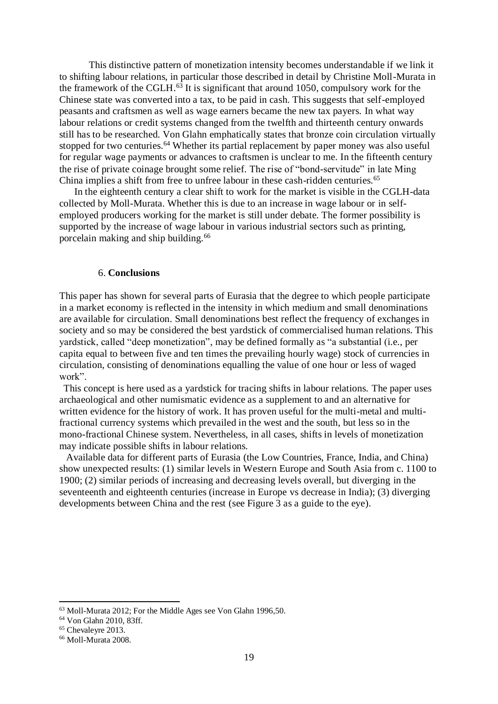This distinctive pattern of monetization intensity becomes understandable if we link it to shifting labour relations, in particular those described in detail by Christine Moll-Murata in the framework of the CGLH. <sup>63</sup> It is significant that around 1050, compulsory work for the Chinese state was converted into a tax, to be paid in cash. This suggests that self-employed peasants and craftsmen as well as wage earners became the new tax payers. In what way labour relations or credit systems changed from the twelfth and thirteenth century onwards still has to be researched. Von Glahn emphatically states that bronze coin circulation virtually stopped for two centuries.<sup>64</sup> Whether its partial replacement by paper money was also useful for regular wage payments or advances to craftsmen is unclear to me. In the fifteenth century the rise of private coinage brought some relief. The rise of "bond-servitude" in late Ming China implies a shift from free to unfree labour in these cash-ridden centuries.<sup>65</sup>

In the eighteenth century a clear shift to work for the market is visible in the CGLH-data collected by Moll-Murata. Whether this is due to an increase in wage labour or in selfemployed producers working for the market is still under debate. The former possibility is supported by the increase of wage labour in various industrial sectors such as printing, porcelain making and ship building.<sup>66</sup>

#### 6. **Conclusions**

This paper has shown for several parts of Eurasia that the degree to which people participate in a market economy is reflected in the intensity in which medium and small denominations are available for circulation. Small denominations best reflect the frequency of exchanges in society and so may be considered the best yardstick of commercialised human relations. This yardstick, called "deep monetization", may be defined formally as "a substantial (i.e., per capita equal to between five and ten times the prevailing hourly wage) stock of currencies in circulation, consisting of denominations equalling the value of one hour or less of waged work".

This concept is here used as a yardstick for tracing shifts in labour relations. The paper uses archaeological and other numismatic evidence as a supplement to and an alternative for written evidence for the history of work. It has proven useful for the multi-metal and multifractional currency systems which prevailed in the west and the south, but less so in the mono-fractional Chinese system. Nevertheless, in all cases, shifts in levels of monetization may indicate possible shifts in labour relations.

Available data for different parts of Eurasia (the Low Countries, France, India, and China) show unexpected results: (1) similar levels in Western Europe and South Asia from c. 1100 to 1900; (2) similar periods of increasing and decreasing levels overall, but diverging in the seventeenth and eighteenth centuries (increase in Europe vs decrease in India); (3) diverging developments between China and the rest (see Figure 3 as a guide to the eye).

<sup>63</sup> Moll-Murata 2012; For the Middle Ages see Von Glahn 1996,50.

<sup>64</sup> Von Glahn 2010, 83ff.

<sup>65</sup> Chevaleyre 2013.

<sup>&</sup>lt;sup>66</sup> Moll-Murata 2008.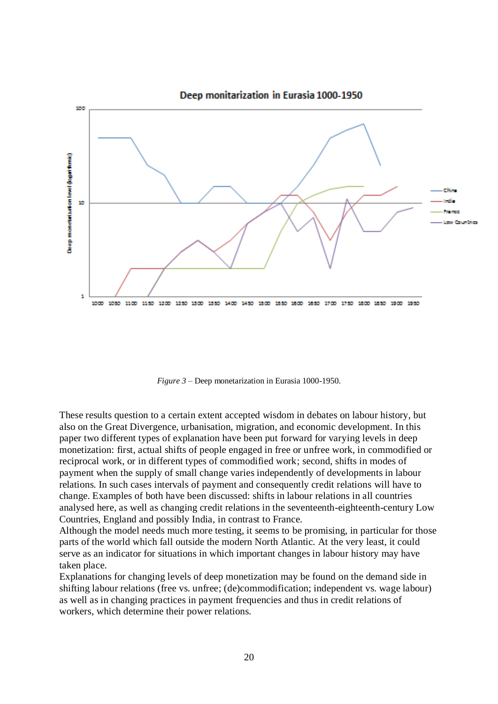

*Figure 3* – Deep monetarization in Eurasia 1000-1950.

These results question to a certain extent accepted wisdom in debates on labour history, but also on the Great Divergence, urbanisation, migration, and economic development. In this paper two different types of explanation have been put forward for varying levels in deep monetization: first, actual shifts of people engaged in free or unfree work, in commodified or reciprocal work, or in different types of commodified work; second, shifts in modes of payment when the supply of small change varies independently of developments in labour relations. In such cases intervals of payment and consequently credit relations will have to change. Examples of both have been discussed: shifts in labour relations in all countries analysed here, as well as changing credit relations in the seventeenth-eighteenth-century Low Countries, England and possibly India, in contrast to France.

Although the model needs much more testing, it seems to be promising, in particular for those parts of the world which fall outside the modern North Atlantic. At the very least, it could serve as an indicator for situations in which important changes in labour history may have taken place.

Explanations for changing levels of deep monetization may be found on the demand side in shifting labour relations (free vs. unfree; (de)commodification; independent vs. wage labour) as well as in changing practices in payment frequencies and thus in credit relations of workers, which determine their power relations.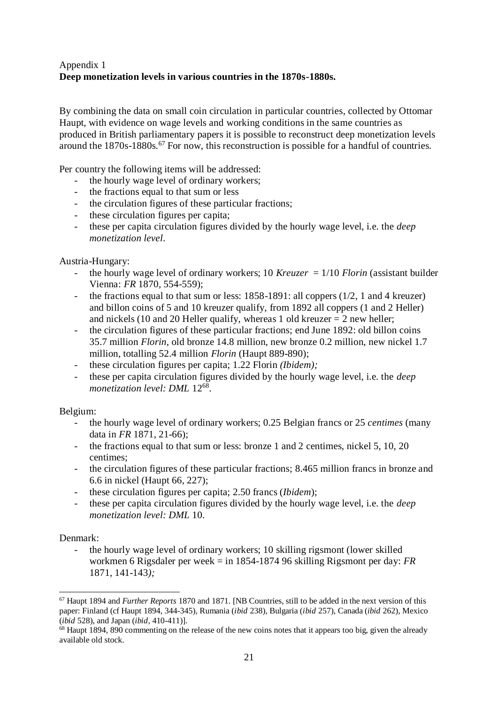# Appendix 1 **Deep monetization levels in various countries in the 1870s-1880s.**

By combining the data on small coin circulation in particular countries, collected by Ottomar Haupt, with evidence on wage levels and working conditions in the same countries as produced in British parliamentary papers it is possible to reconstruct deep monetization levels around the 1870s-1880s.<sup>67</sup> For now, this reconstruction is possible for a handful of countries.

Per country the following items will be addressed:

- the hourly wage level of ordinary workers;
- the fractions equal to that sum or less
- the circulation figures of these particular fractions;
- these circulation figures per capita;
- these per capita circulation figures divided by the hourly wage level, i.e. the *deep monetization level*.

Austria-Hungary:

- the hourly wage level of ordinary workers; 10 *Kreuzer* =  $1/10$  *Florin* (assistant builder Vienna: *FR* 1870, 554-559);
- the fractions equal to that sum or less: 1858-1891: all coppers (1/2, 1 and 4 kreuzer) and billon coins of 5 and 10 kreuzer qualify, from 1892 all coppers (1 and 2 Heller) and nickels (10 and 20 Heller qualify, whereas 1 old kreuzer  $= 2$  new heller;
- the circulation figures of these particular fractions; end June 1892: old billon coins 35.7 million *Florin*, old bronze 14.8 million, new bronze 0.2 million, new nickel 1.7 million, totalling 52.4 million *Florin* (Haupt 889-890);
- these circulation figures per capita; 1.22 Florin *(Ibidem)*;
- these per capita circulation figures divided by the hourly wage level, i.e. the *deep monetization level: DML* 12<sup>68</sup> .

### Belgium:

- the hourly wage level of ordinary workers; 0.25 Belgian francs or 25 *centimes* (many data in *FR* 1871, 21-66);
- the fractions equal to that sum or less: bronze 1 and 2 centimes, nickel 5, 10, 20 centimes;
- the circulation figures of these particular fractions; 8.465 million francs in bronze and 6.6 in nickel (Haupt 66, 227);
- these circulation figures per capita; 2.50 francs (*Ibidem*);
- these per capita circulation figures divided by the hourly wage level, i.e. the *deep monetization level: DML* 10.

### Denmark:

- the hourly wage level of ordinary workers; 10 skilling rigsmont (lower skilled workmen 6 Rigsdaler per week = in 1854-1874 96 skilling Rigsmont per day: *FR* 1871, 141-143*);*

 <sup>67</sup> Haupt 1894 and *Further Reports* 1870 and 1871. [NB Countries, still to be added in the next version of this paper: Finland (cf Haupt 1894, 344-345), Rumania (*ibid* 238), Bulgaria (*ibid* 257), Canada (*ibid* 262), Mexico (*ibid* 528), and Japan (*ibid*, 410-411)].

<sup>&</sup>lt;sup>68</sup> Haupt 1894, 890 commenting on the release of the new coins notes that it appears too big, given the already available old stock.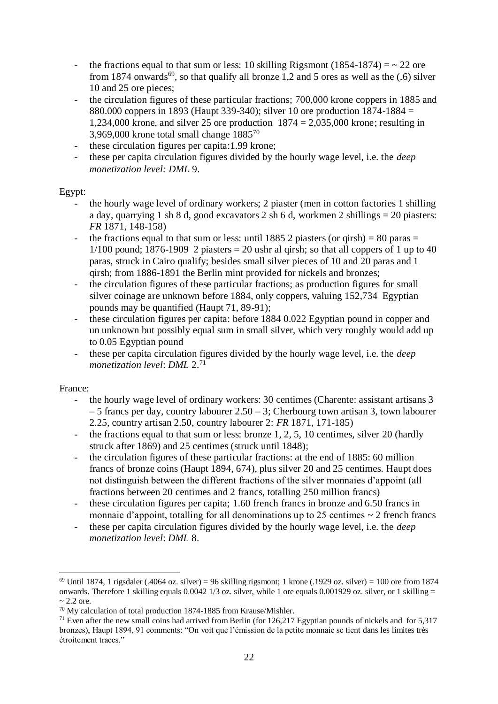- the fractions equal to that sum or less: 10 skilling Rigsmont (1854-1874) =  $\sim$  22 ore from 1874 onwards<sup>69</sup>, so that qualify all bronze 1,2 and 5 ores as well as the  $(.6)$  silver 10 and 25 ore pieces;
- the circulation figures of these particular fractions; 700,000 krone coppers in 1885 and 880.000 coppers in 1893 (Haupt 339-340); silver 10 ore production 1874-1884 = 1,234,000 krone, and silver 25 ore production 1874 = 2,035,000 krone; resulting in 3,969,000 krone total small change  $1885^{70}$
- these circulation figures per capita:1.99 krone;
- these per capita circulation figures divided by the hourly wage level, i.e. the *deep monetization level: DML* 9.

### Egypt:

- the hourly wage level of ordinary workers; 2 piaster (men in cotton factories 1 shilling a day, quarrying 1 sh 8 d, good excavators 2 sh 6 d, workmen 2 shillings = 20 piasters: *FR* 1871, 148-158)
- the fractions equal to that sum or less: until 1885 2 piasters (or qirsh) = 80 paras = 1/100 pound; 1876-1909 2 piasters  $= 20$  ushr al qirsh; so that all coppers of 1 up to 40 paras, struck in Cairo qualify; besides small silver pieces of 10 and 20 paras and 1 qirsh; from 1886-1891 the Berlin mint provided for nickels and bronzes;
- the circulation figures of these particular fractions; as production figures for small silver coinage are unknown before 1884, only coppers, valuing 152,734 Egyptian pounds may be quantified (Haupt 71, 89-91);
- these circulation figures per capita: before 1884 0.022 Egyptian pound in copper and un unknown but possibly equal sum in small silver, which very roughly would add up to 0.05 Egyptian pound
- these per capita circulation figures divided by the hourly wage level, i.e. the *deep monetization level*: *DML* 2. 71

### France:

- the hourly wage level of ordinary workers: 30 centimes (Charente: assistant artisans 3  $-5$  francs per day, country labourer  $2.50 - 3$ ; Cherbourg town artisan 3, town labourer 2.25, country artisan 2.50, country labourer 2: *FR* 1871, 171-185)
- the fractions equal to that sum or less: bronze 1, 2, 5, 10 centimes, silver 20 (hardly struck after 1869) and 25 centimes (struck until 1848);
- the circulation figures of these particular fractions: at the end of 1885: 60 million francs of bronze coins (Haupt 1894, 674), plus silver 20 and 25 centimes. Haupt does not distinguish between the different fractions of the silver monnaies d'appoint (all fractions between 20 centimes and 2 francs, totalling 250 million francs)
- these circulation figures per capita; 1.60 french francs in bronze and 6.50 francs in monnaie d'appoint, totalling for all denominations up to 25 centimes  $\sim$  2 french francs
- these per capita circulation figures divided by the hourly wage level, i.e. the *deep monetization level*: *DML* 8.

<sup>&</sup>lt;sup>69</sup> Until 1874, 1 rigsdaler (.4064 oz. silver) = 96 skilling rigsmont; 1 krone (.1929 oz. silver) = 100 ore from 1874 onwards. Therefore 1 skilling equals  $0.0042$  1/3 oz. silver, while 1 ore equals 0.001929 oz. silver, or 1 skilling =  $\sim$  2.2 ore.

<sup>70</sup> My calculation of total production 1874-1885 from Krause/Mishler.

<sup>&</sup>lt;sup>71</sup> Even after the new small coins had arrived from Berlin (for  $126,217$  Egyptian pounds of nickels and for 5,317 bronzes), Haupt 1894, 91 comments: "On voit que l'émission de la petite monnaie se tient dans les limites très étroitement traces."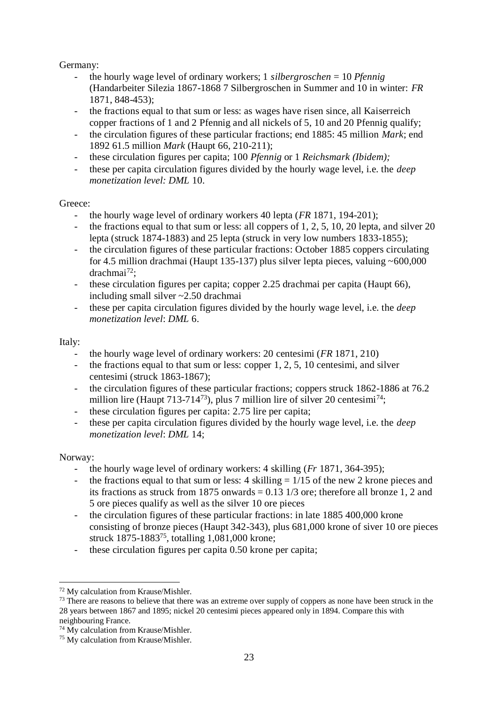# Germany:

- the hourly wage level of ordinary workers; 1 *silbergroschen* = 10 *Pfennig* (Handarbeiter Silezia 1867-1868 7 Silbergroschen in Summer and 10 in winter: *FR* 1871, 848-453);
- the fractions equal to that sum or less: as wages have risen since, all Kaiserreich copper fractions of 1 and 2 Pfennig and all nickels of 5, 10 and 20 Pfennig qualify;
- the circulation figures of these particular fractions; end 1885: 45 million *Mark*; end 1892 61.5 million *Mark* (Haupt 66, 210-211);
- these circulation figures per capita; 100 *Pfennig* or 1 *Reichsmark (Ibidem);*
- these per capita circulation figures divided by the hourly wage level, i.e. the *deep monetization level: DML* 10.

# Greece:

- the hourly wage level of ordinary workers 40 lepta (*FR* 1871, 194-201);
- the fractions equal to that sum or less: all coppers of 1, 2, 5, 10, 20 lepta, and silver 20 lepta (struck 1874-1883) and 25 lepta (struck in very low numbers 1833-1855);
- the circulation figures of these particular fractions: October 1885 coppers circulating for 4.5 million drachmai (Haupt 135-137) plus silver lepta pieces, valuing  $\sim 600,000$  $drachmai<sup>72</sup>$ :
- these circulation figures per capita; copper 2.25 drachmai per capita (Haupt 66), including small silver ~2.50 drachmai
- these per capita circulation figures divided by the hourly wage level, i.e. the *deep monetization level*: *DML* 6.

# Italy:

- the hourly wage level of ordinary workers: 20 centesimi (*FR* 1871, 210)
- the fractions equal to that sum or less: copper  $1, 2, 5, 10$  centesimi, and silver centesimi (struck 1863-1867);
- the circulation figures of these particular fractions; coppers struck 1862-1886 at 76.2 million lire (Haupt 713-714<sup>73</sup>), plus 7 million lire of silver 20 centesimi<sup>74</sup>;
- these circulation figures per capita: 2.75 lire per capita;
- these per capita circulation figures divided by the hourly wage level, i.e. the *deep monetization level*: *DML* 14;

# Norway:

- the hourly wage level of ordinary workers: 4 skilling (*Fr* 1871, 364-395);
- the fractions equal to that sum or less: 4 skilling  $= 1/15$  of the new 2 krone pieces and its fractions as struck from 1875 onwards  $= 0.13$  1/3 ore; therefore all bronze 1, 2 and 5 ore pieces qualify as well as the silver 10 ore pieces
- the circulation figures of these particular fractions: in late 1885 400,000 krone consisting of bronze pieces (Haupt 342-343), plus 681,000 krone of siver 10 ore pieces struck 1875-1883<sup>75</sup>, totalling 1,081,000 krone;
- these circulation figures per capita 0.50 krone per capita;

 $\overline{a}$ <sup>72</sup> My calculation from Krause/Mishler.

 $73$  There are reasons to believe that there was an extreme over supply of coppers as none have been struck in the 28 years between 1867 and 1895; nickel 20 centesimi pieces appeared only in 1894. Compare this with neighbouring France.

<sup>74</sup> My calculation from Krause/Mishler.

<sup>75</sup> My calculation from Krause/Mishler.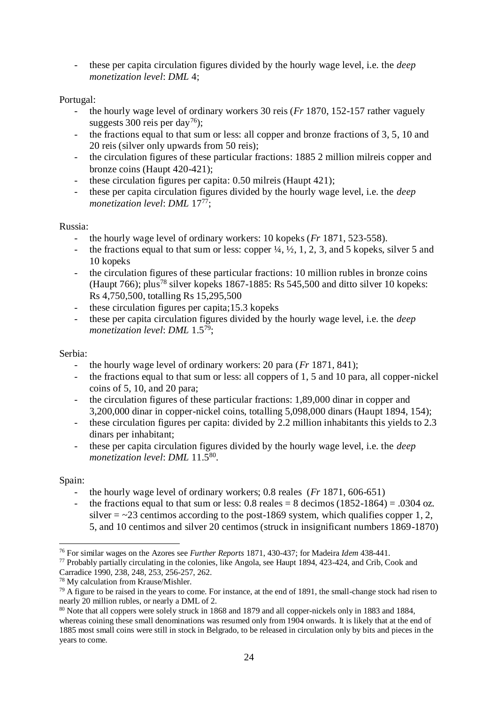- these per capita circulation figures divided by the hourly wage level, i.e. the *deep monetization level*: *DML* 4;

## Portugal:

- the hourly wage level of ordinary workers 30 reis (*Fr* 1870, 152-157 rather vaguely suggests 300 reis per day<sup>76</sup>);
- the fractions equal to that sum or less: all copper and bronze fractions of 3, 5, 10 and 20 reis (silver only upwards from 50 reis);
- the circulation figures of these particular fractions: 1885 2 million milreis copper and bronze coins (Haupt 420-421);
- these circulation figures per capita: 0.50 milreis (Haupt 421);
- these per capita circulation figures divided by the hourly wage level, i.e. the *deep monetization level: DML* 17<sup>77</sup>;

### Russia:

- the hourly wage level of ordinary workers: 10 kopeks (*Fr* 1871, 523-558).
- the fractions equal to that sum or less: copper  $\frac{1}{4}$ ,  $\frac{1}{2}$ , 1, 2, 3, and 5 kopeks, silver 5 and 10 kopeks
- the circulation figures of these particular fractions: 10 million rubles in bronze coins (Haupt 766); plus<sup>78</sup> silver kopeks 1867-1885: Rs 545,500 and ditto silver 10 kopeks: Rs 4,750,500, totalling Rs 15,295,500
- these circulation figures per capita;15.3 kopeks
- these per capita circulation figures divided by the hourly wage level, i.e. the *deep monetization level*: *DML* 1.5<sup>79</sup>;

### Serbia:

- the hourly wage level of ordinary workers: 20 para (*Fr* 1871, 841);
- the fractions equal to that sum or less: all coppers of 1, 5 and 10 para, all copper-nickel coins of 5, 10, and 20 para;
- the circulation figures of these particular fractions: 1,89,000 dinar in copper and 3,200,000 dinar in copper-nickel coins, totalling 5,098,000 dinars (Haupt 1894, 154);
- these circulation figures per capita: divided by 2.2 million inhabitants this yields to 2.3 dinars per inhabitant;
- these per capita circulation figures divided by the hourly wage level, i.e. the *deep monetization level*: *DML* 11.5<sup>80</sup> .

# Spain:

- the hourly wage level of ordinary workers; 0.8 reales (*Fr* 1871, 606-651)
- the fractions equal to that sum or less:  $0.8$  reales =  $8$  decimos  $(1852-1864) = .0304$  oz. silver  $=$   $\sim$  23 centimos according to the post-1869 system, which qualifies copper 1, 2, 5, and 10 centimos and silver 20 centimos (struck in insignificant numbers 1869-1870)

 $\overline{a}$ <sup>76</sup> For similar wages on the Azores see *Further Reports* 1871, 430-437; for Madeira *Idem* 438-441.

<sup>77</sup> Probably partially circulating in the colonies, like Angola, see Haupt 1894, 423-424, and Crib, Cook and Carradice 1990, 238, 248, 253, 256-257, 262.

<sup>78</sup> My calculation from Krause/Mishler.

 $^{79}$  A figure to be raised in the years to come. For instance, at the end of 1891, the small-change stock had risen to nearly 20 million rubles, or nearly a DML of 2.

<sup>80</sup> Note that all coppers were solely struck in 1868 and 1879 and all copper-nickels only in 1883 and 1884, whereas coining these small denominations was resumed only from 1904 onwards. It is likely that at the end of 1885 most small coins were still in stock in Belgrado, to be released in circulation only by bits and pieces in the years to come.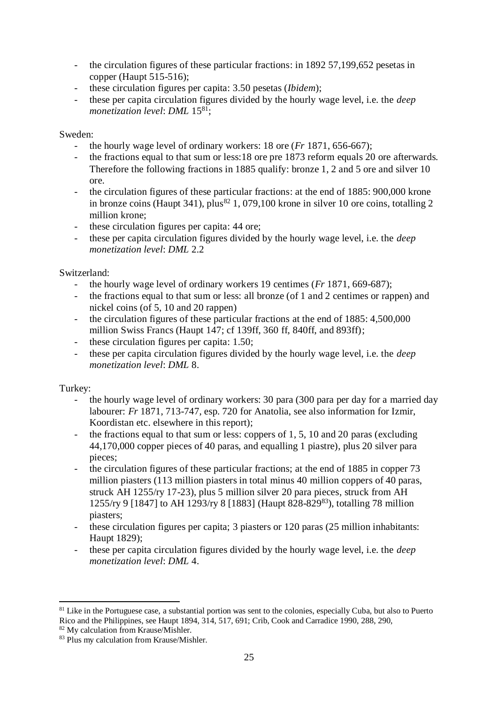- the circulation figures of these particular fractions: in 1892 57,199,652 pesetas in copper (Haupt 515-516);
- these circulation figures per capita: 3.50 pesetas (*Ibidem*);
- these per capita circulation figures divided by the hourly wage level, i.e. the *deep monetization level: DML* 15<sup>81</sup>;

### Sweden:

- the hourly wage level of ordinary workers: 18 ore (*Fr* 1871, 656-667);
- the fractions equal to that sum or less:18 ore pre 1873 reform equals 20 ore afterwards. Therefore the following fractions in 1885 qualify: bronze 1, 2 and 5 ore and silver 10 ore.
- the circulation figures of these particular fractions: at the end of 1885: 900,000 krone in bronze coins (Haupt 341), plus<sup>82</sup> 1, 079,100 krone in silver 10 ore coins, totalling 2 million krone;
- these circulation figures per capita: 44 ore;
- these per capita circulation figures divided by the hourly wage level, i.e. the *deep monetization level*: *DML* 2.2

# Switzerland:

- the hourly wage level of ordinary workers 19 centimes (*Fr* 1871, 669-687);
- the fractions equal to that sum or less: all bronze (of 1 and 2 centimes or rappen) and nickel coins (of 5, 10 and 20 rappen)
- the circulation figures of these particular fractions at the end of 1885: 4,500,000 million Swiss Francs (Haupt 147; cf 139ff, 360 ff, 840ff, and 893ff);
- these circulation figures per capita: 1.50;
- these per capita circulation figures divided by the hourly wage level, i.e. the *deep monetization level*: *DML* 8.

# Turkey:

- the hourly wage level of ordinary workers: 30 para (300 para per day for a married day labourer: *Fr* 1871, 713-747, esp. 720 for Anatolia, see also information for Izmir, Koordistan etc. elsewhere in this report);
- the fractions equal to that sum or less: coppers of 1, 5, 10 and 20 paras (excluding 44,170,000 copper pieces of 40 paras, and equalling 1 piastre), plus 20 silver para pieces;
- the circulation figures of these particular fractions; at the end of 1885 in copper 73 million piasters (113 million piasters in total minus 40 million coppers of 40 paras, struck AH 1255/ry 17-23), plus 5 million silver 20 para pieces, struck from AH 1255/ry 9 [1847] to AH 1293/ry 8 [1883] (Haupt 828-829<sup>83</sup>), totalling 78 million piasters;
- these circulation figures per capita; 3 piasters or 120 paras (25 million inhabitants: Haupt 1829);
- these per capita circulation figures divided by the hourly wage level, i.e. the *deep monetization level*: *DML* 4.

 $\overline{a}$  $81$  Like in the Portuguese case, a substantial portion was sent to the colonies, especially Cuba, but also to Puerto Rico and the Philippines, see Haupt 1894, 314, 517, 691; Crib, Cook and Carradice 1990, 288, 290,

<sup>82</sup> My calculation from Krause/Mishler.

<sup>83</sup> Plus my calculation from Krause/Mishler.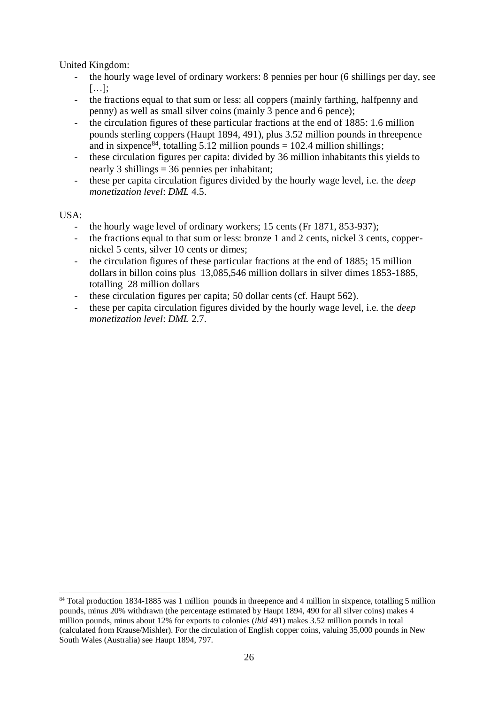United Kingdom:

- the hourly wage level of ordinary workers: 8 pennies per hour (6 shillings per day, see […];
- the fractions equal to that sum or less: all coppers (mainly farthing, halfpenny and penny) as well as small silver coins (mainly 3 pence and 6 pence);
- the circulation figures of these particular fractions at the end of 1885: 1.6 million pounds sterling coppers (Haupt 1894, 491), plus 3.52 million pounds in threepence and in sixpence<sup>84</sup>, totalling 5.12 million pounds = 102.4 million shillings;
- these circulation figures per capita: divided by 36 million inhabitants this yields to nearly 3 shillings = 36 pennies per inhabitant;
- these per capita circulation figures divided by the hourly wage level, i.e. the *deep monetization level*: *DML* 4.5.

USA:

- the hourly wage level of ordinary workers; 15 cents (Fr 1871, 853-937);
- the fractions equal to that sum or less: bronze 1 and 2 cents, nickel 3 cents, coppernickel 5 cents, silver 10 cents or dimes;
- the circulation figures of these particular fractions at the end of 1885; 15 million dollars in billon coins plus 13,085,546 million dollars in silver dimes 1853-1885, totalling 28 million dollars
- these circulation figures per capita; 50 dollar cents (cf. Haupt 562).
- these per capita circulation figures divided by the hourly wage level, i.e. the *deep monetization level*: *DML* 2.7.

 <sup>84</sup> Total production 1834-1885 was 1 million pounds in threepence and 4 million in sixpence, totalling 5 million pounds, minus 20% withdrawn (the percentage estimated by Haupt 1894, 490 for all silver coins) makes 4 million pounds, minus about 12% for exports to colonies (*ibid* 491) makes 3.52 million pounds in total (calculated from Krause/Mishler). For the circulation of English copper coins, valuing 35,000 pounds in New South Wales (Australia) see Haupt 1894, 797.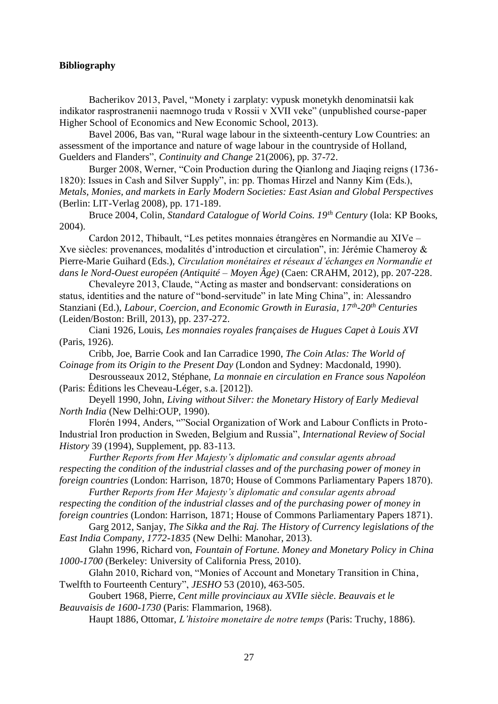#### **Bibliography**

Bacherikov 2013, Pavel, "Monety i zarplaty: vypusk monetykh denominatsii kak indikator rasprostranenii naemnogo truda v Rossii v XVII veke" (unpublished course-paper Higher School of Economics and New Economic School, 2013).

Bavel 2006, Bas van, ["Rural wage labour in the sixteenth-century Low Countries: an](http://journals.cambridge.org/abstract_S0268416005005631)  [assessment of the importance and nature of wage labour](http://journals.cambridge.org/abstract_S0268416005005631) in the countryside of Holland, [Guelders and Flanders"](http://journals.cambridge.org/abstract_S0268416005005631), *Continuity and Change* 21(2006), pp. 37-72.

Burger 2008, Werner, "Coin Production during the Qianlong and Jiaqing reigns (1736- 1820): Issues in Cash and Silver Supply", in: pp. Thomas Hirzel and Nanny Kim (Eds.), *Metals, Monies, and markets in Early Modern Societies: East Asian and Global Perspectives* (Berlin: LIT-Verlag 2008), pp. 171-189.

Bruce 2004, Colin, *Standard Catalogue of World Coins. 19th Century* (Iola: KP Books, 2004).

Cardon 2012, Thibault, "Les petites monnaies étrangères en Normandie au XIVe – Xve siècles: provenances, modalités d'introduction et circulation", in: Jérémie Chameroy & Pierre-Marie Guihard (Eds.), *Circulation monétaires et réseaux d'échanges en Normandie et dans le Nord-Ouest européen (Antiquité – Moyen Âge)* (Caen: CRAHM, 2012), pp. 207-228.

Chevaleyre 2013, Claude, "Acting as master and bondservant: considerations on status, identities and the nature of "bond-servitude" in late Ming China", in: Alessandro Stanziani (Ed.), *Labour, Coercion, and Economic Growth in Eurasia, 17th -20th Centuries*  (Leiden/Boston: Brill, 2013), pp. 237-272.

Ciani 1926, Louis, *Les monnaies royales françaises de Hugues Capet à Louis XVI*  (Paris, 1926).

Cribb, Joe, Barrie Cook and Ian Carradice 1990, *The Coin Atlas: The World of Coinage from its Origin to the Present Day* (London and Sydney: Macdonald, 1990).

Desrousseaux 2012, Stéphane, *La monnaie en circulation en France sous Napoléon* (Paris: Éditions les Cheveau-Léger, s.a. [2012]).

Deyell 1990, John, *Living without Silver: the Monetary History of Early Medieval North India* (New Delhi:OUP, 1990).

Florén 1994, Anders, ""Social Organization of Work and Labour Conflicts in Proto-Industrial Iron production in Sweden, Belgium and Russia", *International Review of Social History* 39 (1994), Supplement, pp. 83-113.

*Further Reports from Her Majesty's diplomatic and consular agents abroad respecting the condition of the industrial classes and of the purchasing power of money in foreign countries* (London: Harrison, 1870; House of Commons Parliamentary Papers 1870).

*Further Reports from Her Majesty's diplomatic and consular agents abroad* 

*respecting the condition of the industrial classes and of the purchasing power of money in foreign countries* (London: Harrison, 1871; House of Commons Parliamentary Papers 1871).

Garg 2012, Sanjay, *The Sikka and the Raj. The History of Currency legislations of the East India Company, 1772-1835* (New Delhi: Manohar, 2013).

Glahn 1996, Richard von, *Fountain of Fortune. Money and Monetary Policy in China 1000-1700* (Berkeley: University of California Press, 2010).

Glahn 2010, Richard von, "Monies of Account and Monetary Transition in China, Twelfth to Fourteenth Century", *JESHO* 53 (2010), 463-505.

Goubert 1968, Pierre, *Cent mille provinciaux au XVIIe siècle. Beauvais et le Beauvaisis de 1600-1730* (Paris: Flammarion, 1968).

Haupt 1886, Ottomar, *L'histoire monetaire de notre temps* (Paris: Truchy, 1886).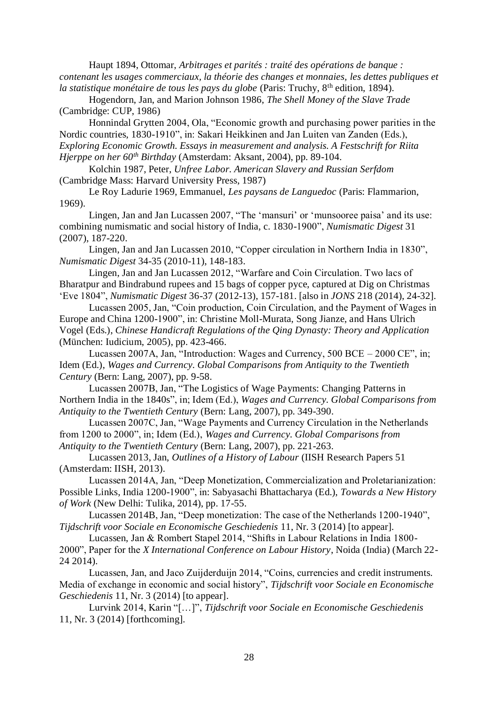Haupt 1894, Ottomar, *Arbitrages et parités : traité des opérations de banque : contenant les usages commerciaux, la théorie des changes et monnaies, les dettes publiques et la statistique monétaire de tous les pays du globe* (Paris: Truchy, 8<sup>th</sup> edition, 1894).

Hogendorn, Jan, and Marion Johnson 1986, *The Shell Money of the Slave Trade* (Cambridge: CUP, 1986)

Honnindal Grytten 2004, Ola, "Economic growth and purchasing power parities in the Nordic countries, 1830-1910", in: Sakari Heikkinen and Jan Luiten van Zanden (Eds.), *Exploring Economic Growth. Essays in measurement and analysis. A Festschrift for Riita Hjerppe on her 60th Birthday* (Amsterdam: Aksant, 2004), pp. 89-104.

Kolchin 1987, Peter, *Unfree Labor. American Slavery and Russian Serfdom* (Cambridge Mass: Harvard University Press, 1987)

Le Roy Ladurie 1969, Emmanuel, *Les paysans de Languedoc* (Paris: Flammarion, 1969).

Lingen, Jan and Jan Lucassen 2007, "The 'mansuri' or 'munsooree paisa' and its use: combining numismatic and social history of India, c. 1830-1900", *Numismatic Digest* 31 (2007), 187-220.

Lingen, Jan and Jan Lucassen 2010, "Copper circulation in Northern India in 1830", *Numismatic Digest* 34-35 (2010-11), 148-183.

Lingen, Jan and Jan Lucassen 2012, "Warfare and Coin Circulation. Two lacs of Bharatpur and Bindrabund rupees and 15 bags of copper pyce, captured at Dig on Christmas 'Eve 1804", *Numismatic Digest* 36-37 (2012-13), 157-181. [also in *JONS* 218 (2014), 24-32].

Lucassen 2005, Jan, "Coin production, Coin Circulation, and the Payment of Wages in Europe and China 1200-1900", in: Christine Moll-Murata, Song Jianze, and Hans Ulrich Vogel (Eds.), *Chinese Handicraft Regulations of the Qing Dynasty: Theory and Application* (München: Iudicium, 2005), pp. 423-466.

Lucassen 2007A, Jan, "Introduction: Wages and Currency, 500 BCE – 2000 CE", in; Idem (Ed.), *Wages and Currency. Global Comparisons from Antiquity to the Twentieth Century* (Bern: Lang, 2007), pp. 9-58.

Lucassen 2007B, Jan, "The Logistics of Wage Payments: Changing Patterns in Northern India in the 1840s", in; Idem (Ed.), *Wages and Currency. Global Comparisons from Antiquity to the Twentieth Century* (Bern: Lang, 2007), pp. 349-390.

Lucassen 2007C, Jan, "Wage Payments and Currency Circulation in the Netherlands from 1200 to 2000", in; Idem (Ed.), *Wages and Currency. Global Comparisons from Antiquity to the Twentieth Century* (Bern: Lang, 2007), pp. 221-263.

Lucassen 2013, Jan, *Outlines of a History of Labour* (IISH Research Papers 51 (Amsterdam: IISH, 2013).

Lucassen 2014A, Jan, "Deep Monetization, Commercialization and Proletarianization: Possible Links, India 1200-1900", in: Sabyasachi Bhattacharya (Ed.), *Towards a New History of Work* (New Delhi: Tulika, 2014), pp. 17-55.

Lucassen 2014B, Jan, "Deep monetization: The case of the Netherlands 1200-1940", *Tijdschrift voor Sociale en Economische Geschiedenis* 11, Nr. 3 (2014) [to appear].

Lucassen, Jan & Rombert Stapel 2014, "Shifts in Labour Relations in India 1800- 2000", Paper for the *X International Conference on Labour History*, Noida (India) (March 22- 24 2014).

Lucassen, Jan, and Jaco Zuijderduijn 2014, "Coins, currencies and credit instruments. Media of exchange in economic and social history", *Tijdschrift voor Sociale en Economische Geschiedenis* 11, Nr. 3 (2014) [to appear].

Lurvink 2014, Karin "[…]", *Tijdschrift voor Sociale en Economische Geschiedenis* 11, Nr. 3 (2014) [forthcoming].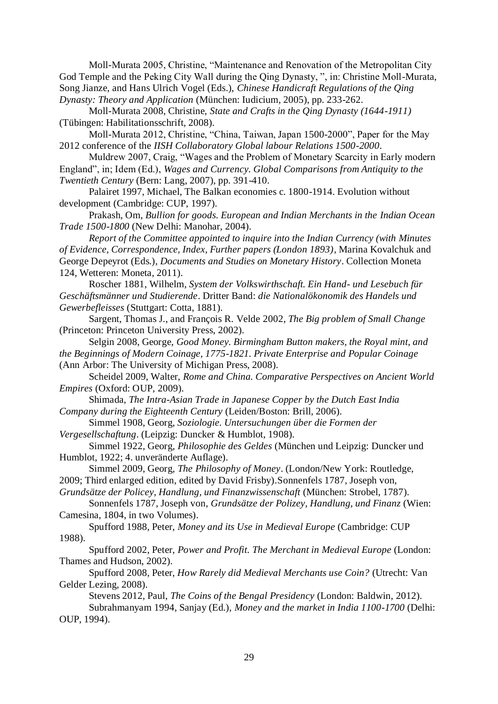Moll-Murata 2005, Christine, "Maintenance and Renovation of the Metropolitan City God Temple and the Peking City Wall during the Qing Dynasty, ", in: Christine Moll-Murata, Song Jianze, and Hans Ulrich Vogel (Eds.), *Chinese Handicraft Regulations of the Qing Dynasty: Theory and Application* (München: Iudicium, 2005), pp. 233-262.

Moll-Murata 2008, Christine, *State and Crafts in the Qing Dynasty (1644-1911)*  (Tübingen: Habilitationsschrift, 2008).

Moll-Murata 2012, Christine, "China, Taiwan, Japan 1500-2000", Paper for the May 2012 conference of the *IISH Collaboratory Global labour Relations 1500-2000*.

Muldrew 2007, Craig, "Wages and the Problem of Monetary Scarcity in Early modern England", in; Idem (Ed.), *Wages and Currency. Global Comparisons from Antiquity to the Twentieth Century* (Bern: Lang, 2007), pp. 391-410.

Palairet 1997, Michael, The Balkan economies c. 1800-1914. Evolution without development (Cambridge: CUP, 1997).

Prakash, Om, *Bullion for goods. European and Indian Merchants in the Indian Ocean Trade 1500-1800* (New Delhi: Manohar, 2004).

*Report of the Committee appointed to inquire into the Indian Currency (with Minutes of Evidence, Correspondence, Index, Further papers (London 1893)*, Marina Kovalchuk and George Depeyrot (Eds.), *Documents and Studies on Monetary History*. Collection Moneta 124, Wetteren: Moneta, 2011).

Roscher 1881, Wilhelm, *System der Volkswirthschaft. Ein Hand- und Lesebuch für Geschäftsmänner und Studierende*. Dritter Band: *die Nationalökonomik des Handels und Gewerbefleisses* (Stuttgart: Cotta, 1881).

Sargent, Thomas J., and François R. Velde 2002, *The Big problem of Small Change* (Princeton: Princeton University Press, 2002).

Selgin 2008, George, *Good Money. Birmingham Button makers, the Royal mint, and the Beginnings of Modern Coinage, 1775-1821. Private Enterprise and Popular Coinage* (Ann Arbor: The University of Michigan Press, 2008).

Scheidel 2009, Walter, *Rome and China. Comparative Perspectives on Ancient World Empires* (Oxford: OUP, 2009).

Shimada, *The Intra-Asian Trade in Japanese Copper by the Dutch East India Company during the Eighteenth Century* (Leiden/Boston: Brill, 2006).

Simmel 1908, Georg, *Soziologie. Untersuchungen über die Formen der Vergesellschaftung*. (Leipzig: Duncker & Humblot, 1908).

Simmel 1922, Georg, *Philosophie des Geldes* (München und Leipzig: Duncker und Humblot, 1922; 4. unveränderte Auflage).

Simmel 2009, Georg, *The Philosophy of Money*. (London/New York: Routledge, 2009; Third enlarged edition, edited by David Frisby).Sonnenfels 1787, Joseph von,

*Grundsätze der Policey, Handlung, und Finanzwissenschaft* (München: Strobel, 1787).

Sonnenfels 1787, Joseph von, *Grundsätze der Polizey, Handlung, und Finanz* (Wien: Camesina, 1804, in two Volumes).

Spufford 1988, Peter, *Money and its Use in Medieval Europe* (Cambridge: CUP 1988).

Spufford 2002, Peter, *Power and Profit. The Merchant in Medieval Europe* (London: Thames and Hudson, 2002).

Spufford 2008, Peter, *How Rarely did Medieval Merchants use Coin?* (Utrecht: Van Gelder Lezing, 2008).

Stevens 2012, Paul, *The Coins of the Bengal Presidency* (London: Baldwin, 2012). Subrahmanyam 1994, Sanjay (Ed.), *Money and the market in India 1100-1700* (Delhi: OUP, 1994).